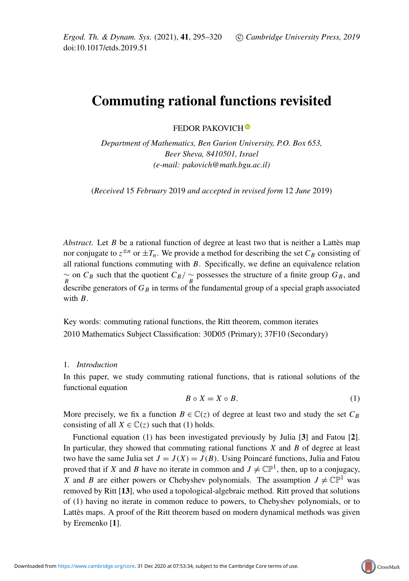# Commuting rational functions revisited

FEDOR PAKOVICH<sup>O</sup>

*Department of Mathematics, Ben Gurion University, P.O. Box 653, Beer Sheva, 8410501, Israel (e-mail: pakovich@math.bgu.ac.il)*

(*Received* 15 *February* 2019 *and accepted in revised form* 12 *June* 2019)

*Abstract*. Let  $B$  be a rational function of degree at least two that is neither a Lattès map nor conjugate to  $z^{\pm n}$  or  $\pm T_n$ . We provide a method for describing the set  $C_B$  consisting of all rational functions commuting with *B*. Specifically, we define an equivalence relation  $\frac{\sim}{B}$  on *C<sub>B</sub>* such that the quotient *C<sub>B</sub>*/  $\frac{\sim}{B}$  possesses the structure of a finite group *G<sub>B</sub>*, and describe generators of  $G_B$  in terms of the fundamental group of a special graph associated with *B*.

Key words: commuting rational functions, the Ritt theorem, common iterates 2010 Mathematics Subject Classification: 30D05 (Primary); 37F10 (Secondary)

## 1. *Introduction*

In this paper, we study commuting rational functions, that is rational solutions of the functional equation

<span id="page-0-0"></span>
$$
B \circ X = X \circ B. \tag{1}
$$

More precisely, we fix a function  $B \in \mathbb{C}(z)$  of degree at least two and study the set  $C_B$ consisting of all  $X \in \mathbb{C}(\mathfrak{z})$  such that [\(1\)](#page-0-0) holds.

Functional equation [\(1\)](#page-0-0) has been investigated previously by Julia [[3](#page-25-0)] and Fatou [[2](#page-25-1)]. In particular, they showed that commuting rational functions *X* and *B* of degree at least two have the same Julia set  $J = J(X) = J(B)$ . Using Poincaré functions, Julia and Fatou proved that if *X* and *B* have no iterate in common and  $J \neq \mathbb{CP}^1$ , then, up to a conjugacy, *X* and *B* are either powers or Chebyshev polynomials. The assumption  $J \neq \mathbb{CP}^1$  was removed by Ritt [[13](#page-25-2)], who used a topological-algebraic method. Ritt proved that solutions of [\(1\)](#page-0-0) having no iterate in common reduce to powers, to Chebyshev polynomials, or to Lattès maps. A proof of the Ritt theorem based on modern dynamical methods was given by Eremenko [[1](#page-25-3)].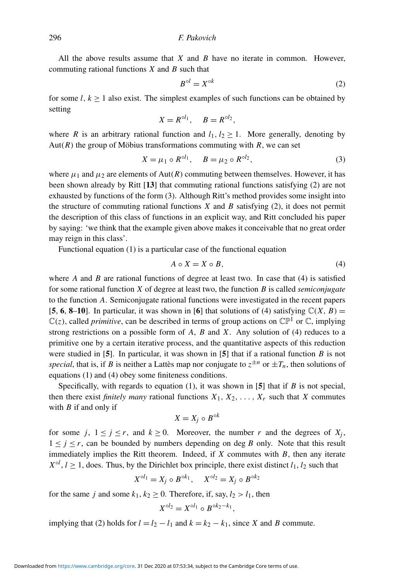All the above results assume that *X* and *B* have no iterate in common. However, commuting rational functions *X* and *B* such that

<span id="page-1-0"></span>
$$
B^{\circ l} = X^{\circ k} \tag{2}
$$

for some  $l, k \ge 1$  also exist. The simplest examples of such functions can be obtained by setting

$$
X = R^{\circ l_1}, \quad B = R^{\circ l_2},
$$

where *R* is an arbitrary rational function and  $l_1$ ,  $l_2 \geq 1$ . More generally, denoting by Aut( $R$ ) the group of Möbius transformations commuting with  $R$ , we can set

<span id="page-1-1"></span>
$$
X = \mu_1 \circ R^{\circ l_1}, \quad B = \mu_2 \circ R^{\circ l_2}, \tag{3}
$$

where  $\mu_1$  and  $\mu_2$  are elements of Aut(R) commuting between themselves. However, it has been shown already by Ritt [[13](#page-25-2)] that commuting rational functions satisfying [\(2\)](#page-1-0) are not exhausted by functions of the form [\(3\)](#page-1-1). Although Ritt's method provides some insight into the structure of commuting rational functions *X* and *B* satisfying [\(2\)](#page-1-0), it does not permit the description of this class of functions in an explicit way, and Ritt concluded his paper by saying: 'we think that the example given above makes it conceivable that no great order may reign in this class'.

Functional equation [\(1\)](#page-0-0) is a particular case of the functional equation

<span id="page-1-2"></span>
$$
A \circ X = X \circ B,\tag{4}
$$

where *A* and *B* are rational functions of degree at least two. In case that [\(4\)](#page-1-2) is satisfied for some rational function *X* of degree at least two, the function *B* is called *semiconjugate* to the function *A*. Semiconjugate rational functions were investigated in the recent papers [[5](#page-25-4), [6](#page-25-5), [8](#page-25-6)–[10](#page-25-7)]. In particular, it was shown in [6] that solutions of [\(4\)](#page-1-2) satisfying  $\mathbb{C}(X, B)$  =  $\mathbb{C}(z)$ , called *primitive*, can be described in terms of group actions on  $\mathbb{CP}^1$  or  $\mathbb{C}$ , implying strong restrictions on a possible form of *A*, *B* and *X*. Any solution of [\(4\)](#page-1-2) reduces to a primitive one by a certain iterative process, and the quantitative aspects of this reduction were studied in [[5](#page-25-4)]. In particular, it was shown in [[5](#page-25-4)] that if a rational function *B* is not *special*, that is, if *B* is neither a Lattès map nor conjugate to  $z^{\pm n}$  or  $\pm T_n$ , then solutions of equations [\(1\)](#page-0-0) and [\(4\)](#page-1-2) obey some finiteness conditions.

Specifically, with regards to equation [\(1\)](#page-0-0), it was shown in [[5](#page-25-4)] that if *B* is not special, then there exist *finitely many* rational functions  $X_1, X_2, \ldots, X_r$  such that *X* commutes with *B* if and only if

$$
X=X_j\circ B^{\circ k}
$$

for some *j*,  $1 \le j \le r$ , and  $k \ge 0$ . Moreover, the number *r* and the degrees of  $X_j$ ,  $1 \leq j \leq r$ , can be bounded by numbers depending on deg *B* only. Note that this result immediately implies the Ritt theorem. Indeed, if *X* commutes with *B*, then any iterate  $X^{\circ l}$ ,  $l \geq 1$ , does. Thus, by the Dirichlet box principle, there exist distinct  $l_1$ ,  $l_2$  such that

$$
X^{\circ l_1} = X_j \circ B^{\circ k_1}, \quad X^{\circ l_2} = X_j \circ B^{\circ k_2}
$$

for the same *j* and some  $k_1, k_2 \ge 0$ . Therefore, if, say,  $l_2 > l_1$ , then

$$
X^{\circ l_2} = X^{\circ l_1} \circ B^{\circ k_2 - k_1},
$$

implying that [\(2\)](#page-1-0) holds for  $l = l_2 - l_1$  and  $k = k_2 - k_1$ , since *X* and *B* commute.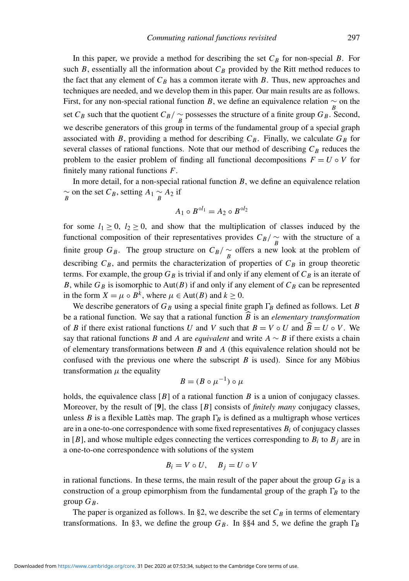In this paper, we provide a method for describing the set  $C_B$  for non-special *B*. For such  $B$ , essentially all the information about  $C_B$  provided by the Ritt method reduces to the fact that any element of  $C_B$  has a common iterate with *B*. Thus, new approaches and techniques are needed, and we develop them in this paper. Our main results are as follows. First, for any non-special rational function *B*, we define an equivalence relation  $\sim$  on the set *C<sub>B</sub>* such that the quotient  $C_B$ /  $\sim_B$  possesses the structure of a finite group  $G_B$ . Second, we describe generators of this group in terms of the fundamental group of a special graph associated with *B*, providing a method for describing  $C_B$ . Finally, we calculate  $G_B$  for several classes of rational functions. Note that our method of describing  $C_B$  reduces the problem to the easier problem of finding all functional decompositions  $F = U \circ V$  for finitely many rational functions *F*.

In more detail, for a non-special rational function *B*, we define an equivalence relation  $\frac{a}{B}$  on the set *C<sub>B</sub>*, setting *A*<sub>1</sub>  $\frac{a}{B}$  *A*<sub>2</sub> if

$$
A_1 \circ B^{\circ l_1} = A_2 \circ B^{\circ l_2}
$$

for some  $l_1 \geq 0$ ,  $l_2 \geq 0$ , and show that the multiplication of classes induced by the functional composition of their representatives provides  $C_B / \underset{B}{\sim}$  with the structure of a finite group *G<sub>B</sub>*. The group structure on  $C_B / \frac{\sim}{B}$  offers a new look at the problem of describing  $C_B$ , and permits the characterization of properties of  $C_B$  in group theoretic terms. For example, the group  $G_B$  is trivial if and only if any element of  $C_B$  is an iterate of *B*, while  $G_B$  is isomorphic to Aut(*B*) if and only if any element of  $C_B$  can be represented in the form  $X = \mu \circ B^k$ , where  $\mu \in \text{Aut}(B)$  and  $k \ge 0$ .

We describe generators of  $G_B$  using a special finite graph  $\Gamma_B$  defined as follows. Let *B* be a rational function. We say that a rational function  $\widehat{B}$  is an *elementary transformation* of *B* if there exist rational functions *U* and *V* such that  $B = V \circ U$  and  $\widehat{B} = U \circ V$ . We say that rational functions *B* and *A* are *equivalent* and write  $A \sim B$  if there exists a chain of elementary transformations between *B* and *A* (this equivalence relation should not be confused with the previous one where the subscript  $B$  is used). Since for any Möbius transformation  $\mu$  the equality

$$
B = (B \circ \mu^{-1}) \circ \mu
$$

holds, the equivalence class [*B*] of a rational function *B* is a union of conjugacy classes. Moreover, by the result of [[9](#page-25-8)], the class [*B*] consists of *finitely many* conjugacy classes, unless *B* is a flexible Lattès map. The graph  $\Gamma_B$  is defined as a multigraph whose vertices are in a one-to-one correspondence with some fixed representatives  $B_i$  of conjugacy classes in [B], and whose multiple edges connecting the vertices corresponding to  $B_i$  to  $B_j$  are in a one-to-one correspondence with solutions of the system

$$
B_i = V \circ U, \quad B_j = U \circ V
$$

in rational functions. In these terms, the main result of the paper about the group  $G_B$  is a construction of a group epimorphism from the fundamental group of the graph  $\Gamma_B$  to the group  $G_B$ .

The paper is organized as follows. In §2, we describe the set  $C_B$  in terms of elementary transformations. In §3, we define the group  $G_B$ . In §§4 and 5, we define the graph  $\Gamma_B$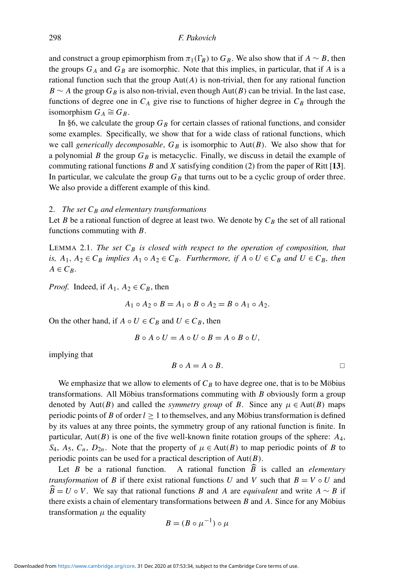and construct a group epimorphism from  $\pi_1(\Gamma_B)$  to  $G_B$ . We also show that if  $A \sim B$ , then the groups  $G_A$  and  $G_B$  are isomorphic. Note that this implies, in particular, that if *A* is a rational function such that the group  $Aut(A)$  is non-trivial, then for any rational function *B* ∼ *A* the group  $G_B$  is also non-trivial, even though Aut(*B*) can be trivial. In the last case, functions of degree one in  $C_A$  give rise to functions of higher degree in  $C_B$  through the isomorphism  $G_A \cong G_B$ .

In §6, we calculate the group  $G_B$  for certain classes of rational functions, and consider some examples. Specifically, we show that for a wide class of rational functions, which we call *generically decomposable*,  $G_B$  is isomorphic to Aut(*B*). We also show that for a polynomial *B* the group  $G_B$  is metacyclic. Finally, we discuss in detail the example of commuting rational functions *B* and *X* satisfying condition [\(2\)](#page-1-0) from the paper of Ritt [[13](#page-25-2)]. In particular, we calculate the group  $G_B$  that turns out to be a cyclic group of order three. We also provide a different example of this kind.

#### 2. *The set C<sup>B</sup> and elementary transformations*

Let *B* be a rational function of degree at least two. We denote by  $C_B$  the set of all rational functions commuting with *B*.

<span id="page-3-0"></span>LEMMA 2.1. *The set*  $C_B$  *is closed with respect to the operation of composition, that is,*  $A_1, A_2 \in C_B$  *implies*  $A_1 \circ A_2 \in C_B$ *. Furthermore, if*  $A \circ U \in C_B$  *and*  $U \in C_B$ *, then*  $A \in C_R$ .

*Proof.* Indeed, if  $A_1$ ,  $A_2 \in C_B$ , then

$$
A_1 \circ A_2 \circ B = A_1 \circ B \circ A_2 = B \circ A_1 \circ A_2.
$$

On the other hand, if  $A \circ U \in C_B$  and  $U \in C_B$ , then

$$
B \circ A \circ U = A \circ U \circ B = A \circ B \circ U,
$$

implying that

$$
B \circ A = A \circ B. \Box
$$

We emphasize that we allow to elements of  $C_B$  to have degree one, that is to be Möbius transformations. All Möbius transformations commuting with  $B$  obviously form a group denoted by Aut(*B*) and called the *symmetry group* of *B*. Since any  $\mu \in Aut(B)$  maps periodic points of *B* of order  $l \ge 1$  to themselves, and any Möbius transformation is defined by its values at any three points, the symmetry group of any rational function is finite. In particular, Aut(*B*) is one of the five well-known finite rotation groups of the sphere: *A*4, *S*<sub>4</sub>, *A*<sub>5</sub>, *C*<sub>*n*</sub>, *D*<sub>2*n*</sub>. Note that the property of  $\mu \in Aut(B)$  to map periodic points of *B* to periodic points can be used for a practical description of Aut(*B*).

Let *B* be a rational function. A rational function  $\widehat{B}$  is called an *elementary transformation* of *B* if there exist rational functions *U* and *V* such that  $B = V \circ U$  and  $\widehat{B} = U \circ V$ . We say that rational functions *B* and *A* are *equivalent* and write  $A \sim B$  if there exists a chain of elementary transformations between  $B$  and  $A$ . Since for any Möbius transformation  $\mu$  the equality

$$
B = (B \circ \mu^{-1}) \circ \mu
$$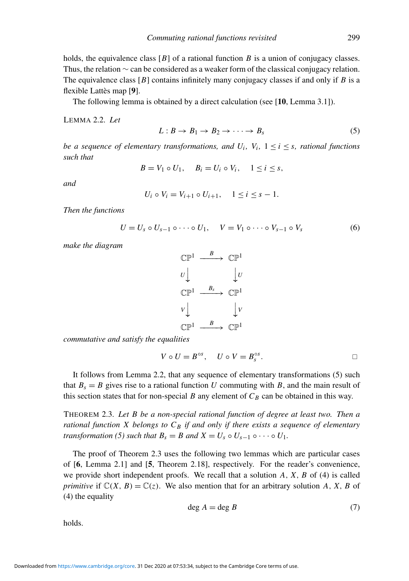holds, the equivalence class [*B*] of a rational function *B* is a union of conjugacy classes. Thus, the relation ∼ can be considered as a weaker form of the classical conjugacy relation. The equivalence class [*B*] contains infinitely many conjugacy classes if and only if *B* is a flexible Lattès map [[9](#page-25-8)].

The following lemma is obtained by a direct calculation (see [[10](#page-25-7), Lemma 3.1]).

<span id="page-4-0"></span>LEMMA 2.2. *Let*

<span id="page-4-1"></span>
$$
L: B \to B_1 \to B_2 \to \cdots \to B_s \tag{5}
$$

*be a sequence of elementary transformations, and*  $U_i$ *,*  $V_i$ *,*  $1 \le i \le s$ *, rational functions such that*

$$
B = V_1 \circ U_1, \quad B_i = U_i \circ V_i, \quad 1 \leq i \leq s,
$$

*and*

$$
U_i \circ V_i = V_{i+1} \circ U_{i+1}, \quad 1 \le i \le s-1.
$$

*Then the functions*

<span id="page-4-4"></span>
$$
U = U_s \circ U_{s-1} \circ \cdots \circ U_1, \quad V = V_1 \circ \cdots \circ V_{s-1} \circ V_s \tag{6}
$$

*make the diagram*

$$
\begin{array}{ccc}\n\mathbb{CP}^1 & \xrightarrow{B} & \mathbb{CP}^1 \\
U & & \downarrow U \\
\mathbb{CP}^1 & \xrightarrow{B_s} & \mathbb{CP}^1 \\
V & & \downarrow V \\
\mathbb{CP}^1 & \xrightarrow{B} & \mathbb{CP}^1 \\
\mathbb{CP}^1 & \xrightarrow{B} & \mathbb{CP}^1\n\end{array}
$$

*commutative and satisfy the equalities*

$$
V \circ U = B^{\circ s}, \quad U \circ V = B_s^{\circ s}.
$$

It follows from Lemma [2.2,](#page-4-0) that any sequence of elementary transformations [\(5\)](#page-4-1) such that  $B_s = B$  gives rise to a rational function U commuting with B, and the main result of this section states that for non-special *B* any element of  $C_B$  can be obtained in this way.

<span id="page-4-2"></span>THEOREM 2.3. *Let B be a non-special rational function of degree at least two. Then a rational function X belongs to*  $C_B$  *if and only if there exists a sequence of elementary transformation* [\(5\)](#page-4-1) *such that*  $B_s = B$  *and*  $X = U_s \circ U_{s-1} \circ \cdots \circ U_1$ *.* 

The proof of Theorem [2.3](#page-4-2) uses the following two lemmas which are particular cases of [[6](#page-25-5), Lemma 2.1] and [[5](#page-25-4), Theorem 2.18], respectively. For the reader's convenience, we provide short independent proofs. We recall that a solution *A*, *X*, *B* of [\(4\)](#page-1-2) is called *primitive* if  $\mathbb{C}(X, B) = \mathbb{C}(z)$ . We also mention that for an arbitrary solution A, X, B of [\(4\)](#page-1-2) the equality

<span id="page-4-3"></span>
$$
\deg A = \deg B \tag{7}
$$

holds.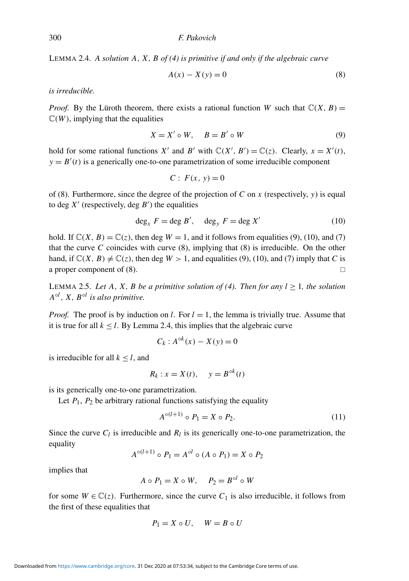<span id="page-5-3"></span>LEMMA 2.4. *A solution A*, *X*, *B of [\(4\)](#page-1-2) is primitive if and only if the algebraic curve*

<span id="page-5-0"></span>
$$
A(x) - X(y) = 0 \tag{8}
$$

*is irreducible.*

*Proof.* By the Lüroth theorem, there exists a rational function W such that  $\mathbb{C}(X, B) =$  $\mathbb{C}(W)$ , implying that the equalities

<span id="page-5-1"></span>
$$
X = X' \circ W, \quad B = B' \circ W \tag{9}
$$

hold for some rational functions *X'* and *B'* with  $\mathbb{C}(X', B') = \mathbb{C}(z)$ . Clearly,  $x = X'(t)$ ,  $y = B'(t)$  is a generically one-to-one parametrization of some irreducible component

$$
C: F(x, y) = 0
$$

of [\(8\)](#page-5-0). Furthermore, since the degree of the projection of *C* on *x* (respectively, *y*) is equal to deg  $X'$  (respectively, deg  $B'$ ) the equalities

<span id="page-5-2"></span>
$$
\deg_x F = \deg B', \quad \deg_y F = \deg X'
$$
 (10)

hold. If  $\mathbb{C}(X, B) = \mathbb{C}(z)$ , then deg  $W = 1$ , and it follows from equalities [\(9\)](#page-5-1), [\(10\)](#page-5-2), and [\(7\)](#page-4-3) that the curve *C* coincides with curve  $(8)$ , implying that  $(8)$  is irreducible. On the other hand, if  $\mathbb{C}(X, B) \neq \mathbb{C}(z)$ , then deg  $W > 1$ , and equalities [\(9\)](#page-5-1), [\(10\)](#page-5-2), and [\(7\)](#page-4-3) imply that *C* is a proper component of [\(8\)](#page-5-0).

<span id="page-5-5"></span>LEMMA 2.5. Let A, X, B be a primitive solution of [\(4\)](#page-1-2). Then for any  $l > 1$ , the solution *A* ◦*l* , *X*, *B* ◦*l is also primitive.*

*Proof.* The proof is by induction on *l*. For  $l = 1$ , the lemma is trivially true. Assume that it is true for all  $k < l$ . By Lemma [2.4,](#page-5-3) this implies that the algebraic curve

$$
C_k: A^{\circ k}(x) - X(y) = 0
$$

is irreducible for all  $k < l$ , and

$$
R_k : x = X(t), \quad y = B^{\circ k}(t)
$$

is its generically one-to-one parametrization.

Let  $P_1$ ,  $P_2$  be arbitrary rational functions satisfying the equality

<span id="page-5-4"></span>
$$
A^{\circ(l+1)} \circ P_1 = X \circ P_2. \tag{11}
$$

Since the curve  $C_l$  is irreducible and  $R_l$  is its generically one-to-one parametrization, the equality

$$
A^{\circ(l+1)} \circ P_1 = A^{\circ l} \circ (A \circ P_1) = X \circ P_2
$$

implies that

$$
A \circ P_1 = X \circ W, \quad P_2 = B^{\circ l} \circ W
$$

for some  $W \in \mathbb{C}(z)$ . Furthermore, since the curve  $C_1$  is also irreducible, it follows from the first of these equalities that

$$
P_1 = X \circ U, \quad W = B \circ U
$$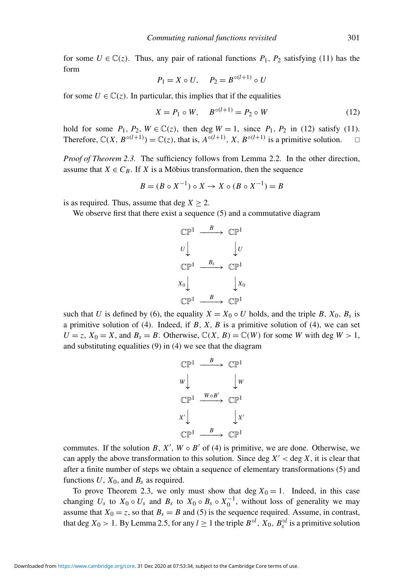for some  $U \in \mathbb{C}(z)$ . Thus, any pair of rational functions  $P_1$ ,  $P_2$  satisfying [\(11\)](#page-5-4) has the form

$$
P_1 = X \circ U, \quad P_2 = B^{\circ (l+1)} \circ U
$$

for some  $U \in \mathbb{C}(z)$ . In particular, this implies that if the equalities

<span id="page-6-0"></span>
$$
X = P_1 \circ W, \quad B^{\circ(l+1)} = P_2 \circ W \tag{12}
$$

hold for some  $P_1$ ,  $P_2$ ,  $W \in \mathbb{C}(z)$ , then deg  $W = 1$ , since  $P_1$ ,  $P_2$  in [\(12\)](#page-6-0) satisfy [\(11\)](#page-5-4). Therefore,  $\mathbb{C}(X, B^{\circ(l+1)}) = \mathbb{C}(z)$ , that is,  $A^{\circ(l+1)}$ ,  $X, B^{\circ(l+1)}$  is a primitive solution.  $\square$ 

*Proof of Theorem [2.3.](#page-4-2)* The sufficiency follows from Lemma [2.2.](#page-4-0) In the other direction, assume that  $X \in C_B$ . If *X* is a Möbius transformation, then the sequence

$$
B = (B \circ X^{-1}) \circ X \to X \circ (B \circ X^{-1}) = B
$$

is as required. Thus, assume that deg  $X > 2$ .

We observe first that there exist a sequence [\(5\)](#page-4-1) and a commutative diagram

$$
\begin{array}{ccc}\n\mathbb{CP}^1 & \xrightarrow{B} & \mathbb{CP}^1 \\
U & & \downarrow U \\
\mathbb{CP}^1 & \xrightarrow{B_s} & \mathbb{CP}^1 \\
X_0 & & \downarrow X_0 \\
\mathbb{CP}^1 & \xrightarrow{B} & \mathbb{CP}^1\n\end{array}
$$

such that *U* is defined by [\(6\)](#page-4-4), the equality  $X = X_0 \circ U$  holds, and the triple *B*,  $X_0$ ,  $B_s$  is a primitive solution of [\(4\)](#page-1-2). Indeed, if *B*, *X*, *B* is a primitive solution of [\(4\)](#page-1-2), we can set  $U = z$ ,  $X_0 = X$ , and  $B_s = B$ . Otherwise,  $\mathbb{C}(X, B) = \mathbb{C}(W)$  for some *W* with deg  $W > 1$ , and substituting equalities [\(9\)](#page-5-1) in [\(4\)](#page-1-2) we see that the diagram

$$
\begin{array}{ccc}\n\mathbb{CP}^1 & \xrightarrow{B} & \mathbb{CP}^1 \\
w & & \downarrow w \\
\mathbb{CP}^1 & \xrightarrow{W \circ B'} & \mathbb{CP}^1 \\
x' & & \downarrow x' \\
\mathbb{CP}^1 & \xrightarrow{B} & \mathbb{CP}^1\n\end{array}
$$

commutes. If the solution *B*,  $X'$ ,  $W \circ B'$  of [\(4\)](#page-1-2) is primitive, we are done. Otherwise, we can apply the above transformation to this solution. Since deg  $X' <$  deg  $X$ , it is clear that after a finite number of steps we obtain a sequence of elementary transformations [\(5\)](#page-4-1) and functions  $U$ ,  $X_0$ , and  $B_s$  as required.

To prove Theorem [2.3,](#page-4-2) we only must show that deg  $X_0 = 1$ . Indeed, in this case changing  $U_s$  to  $X_0 \circ U_s$  and  $B_s$  to  $X_0 \circ B_s \circ X_0^{-1}$ , without loss of generality we may assume that  $X_0 = z$ , so that  $B_s = B$  and [\(5\)](#page-4-1) is the sequence required. Assume, in contrast, that deg  $X_0 > 1$ . By Lemma [2.5,](#page-5-5) for any  $l \ge 1$  the triple  $B^{\circ l}$ ,  $X_0$ ,  $B_s^{\circ l}$  is a primitive solution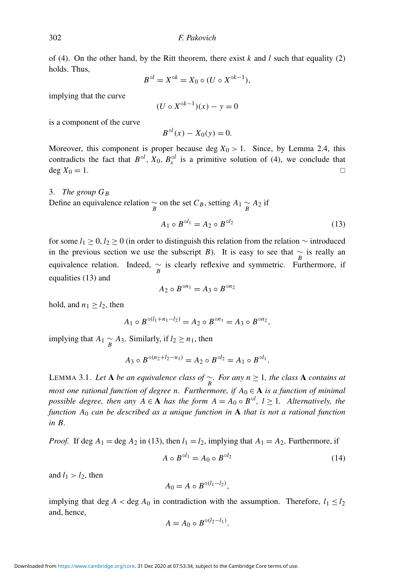of [\(4\)](#page-1-2). On the other hand, by the Ritt theorem, there exist  $k$  and  $l$  such that equality [\(2\)](#page-1-0) holds. Thus,

$$
B^{\circ l} = X^{\circ k} = X_0 \circ (U \circ X^{\circ k-1}),
$$

implying that the curve

$$
(U \circ X^{\circ k-1})(x) - y = 0
$$

is a component of the curve

$$
B^{\circ l}(x) - X_0(y) = 0.
$$

Moreover, this component is proper because deg  $X_0 > 1$ . Since, by Lemma [2.4,](#page-5-3) this contradicts the fact that  $B^{\circ l}$ ,  $X_0$ ,  $B_s^{\circ l}$  is a primitive solution of [\(4\)](#page-1-2), we conclude that  $deg X_0 = 1.$ 

3. *The group G<sup>B</sup>* Define an equivalence relation  $\sim_B$  on the set  $C_B$ , setting  $A_1 \sim_A A_2$  if

<span id="page-7-0"></span>
$$
A_1 \circ B^{\circ l_1} = A_2 \circ B^{\circ l_2} \tag{13}
$$

for some  $l_1 \geq 0$ ,  $l_2 \geq 0$  (in order to distinguish this relation from the relation  $\sim$  introduced in the previous section we use the subscript *B*). It is easy to see that  $\frac{\sim}{B}$  is really an equivalence relation. Indeed,  $\sim_{B}$  is clearly reflexive and symmetric. Furthermore, if equalities [\(13\)](#page-7-0) and

$$
A_2 \circ B^{\circ n_1} = A_3 \circ B^{\circ n_2}
$$

hold, and  $n_1 \ge l_2$ , then

$$
A_1 \circ B^{\circ (l_1 + n_1 - l_2)} = A_2 \circ B^{\circ n_1} = A_3 \circ B^{\circ n_2},
$$

implying that *A*<sub>1</sub>  $\sim$  *A*<sub>3</sub>. Similarly, if *l*<sub>2</sub> ≥ *n*<sub>1</sub>, then

$$
A_3 \circ B^{\circ (n_2 + l_2 - n_1)} = A_2 \circ B^{\circ l_2} = A_1 \circ B^{\circ l_1}.
$$

<span id="page-7-2"></span>LEMMA 3.1. *Let* A *be an equivalence class of* ∼ *B . For any n* ≥ 1*, the class* A *contains at most one rational function of degree n. Furthermore, if*  $A_0 \in \mathbf{A}$  *is a function of minimal possible degree, then any*  $A \in \mathbf{A}$  *has the form*  $A = A_0 \circ B^{\circ l}$ ,  $l \ge 1$ *. Alternatively, the function A*<sup>0</sup> *can be described as a unique function in* A *that is not a rational function in B.*

*Proof.* If 
$$
\deg A_1 = \deg A_2
$$
 in (13), then  $l_1 = l_2$ , implying that  $A_1 = A_2$ . Furthermore, if

<span id="page-7-1"></span>
$$
A \circ B^{\circ l_1} = A_0 \circ B^{\circ l_2} \tag{14}
$$

and  $l_1 > l_2$ , then

$$
A_0=A\circ B^{\circ (l_1-l_2)},
$$

implying that deg  $A <$  deg  $A_0$  in contradiction with the assumption. Therefore,  $l_1 \leq l_2$ and, hence,

$$
A=A_0\circ B^{\circ (l_2-l_1)}.
$$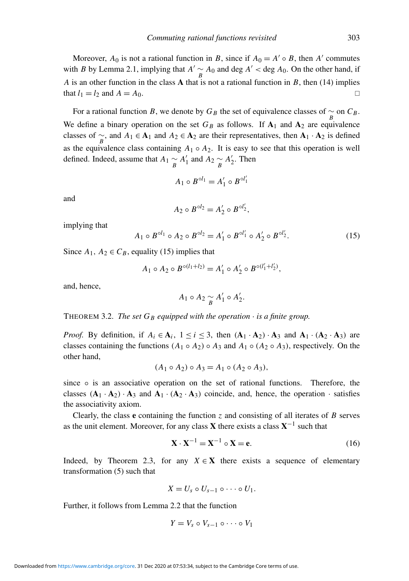Moreover,  $A_0$  is not a rational function in *B*, since if  $A_0 = A' \circ B$ , then A' commutes with *B* by Lemma [2.1,](#page-3-0) implying that  $A' \sim A_0$  and deg  $A' < \text{deg } A_0$ . On the other hand, if *A* is an other function in the class A that is not a rational function in *B*, then [\(14\)](#page-7-1) implies that  $l_1 = l_2$  and  $A = A_0$ .

For a rational function *B*, we denote by  $G_B$  the set of equivalence classes of  $\sim_{B}$  on  $C_B$ . We define a binary operation on the set  $G_B$  as follows. If  $A_1$  and  $A_2$  are equivalence classes of  $\sim_B$ , and  $A_1 \in \mathbf{A}_1$  and  $A_2 \in \mathbf{A}_2$  are their representatives, then  $\mathbf{A}_1 \cdot \mathbf{A}_2$  is defined as the equivalence class containing  $A_1 \circ A_2$ . It is easy to see that this operation is well defined. Indeed, assume that  $A_1 \underset{B}{\sim} A'_1$  and  $A_2 \underset{B}{\sim} A'_2$ . Then

$$
A_1 \circ B^{\circ l_1} = A'_1 \circ B^{\circ l'_1}
$$

and

$$
A_2 \circ B^{\circ l_2} = A'_2 \circ B^{\circ l'_2},
$$

implying that

<span id="page-8-0"></span>
$$
A_1 \circ B^{\circ l_1} \circ A_2 \circ B^{\circ l_2} = A'_1 \circ B^{\circ l'_1} \circ A'_2 \circ B^{\circ l'_2}.
$$
 (15)

Since  $A_1$ ,  $A_2 \in C_B$ , equality [\(15\)](#page-8-0) implies that

$$
A_1 \circ A_2 \circ B^{\circ (l_1 + l_2)} = A'_1 \circ A'_2 \circ B^{\circ (l'_1 + l'_2)},
$$

and, hence,

$$
A_1 \circ A_2 \underset{B}{\sim} A'_1 \circ A'_2.
$$

THEOREM 3.2. *The set*  $G_B$  *equipped with the operation*  $\cdot$  *is a finite group.* 

*Proof.* By definition, if  $A_i \in \mathbf{A}_i$ ,  $1 \le i \le 3$ , then  $(\mathbf{A}_1 \cdot \mathbf{A}_2) \cdot \mathbf{A}_3$  and  $\mathbf{A}_1 \cdot (\mathbf{A}_2 \cdot \mathbf{A}_3)$  are classes containing the functions  $(A_1 \circ A_2) \circ A_3$  and  $A_1 \circ (A_2 \circ A_3)$ , respectively. On the other hand,

$$
(A_1 \circ A_2) \circ A_3 = A_1 \circ (A_2 \circ A_3),
$$

since  $\circ$  is an associative operation on the set of rational functions. Therefore, the classes  $(A_1 \cdot A_2) \cdot A_3$  and  $A_1 \cdot (A_2 \cdot A_3)$  coincide, and, hence, the operation  $\cdot$  satisfies the associativity axiom.

Clearly, the class  $e$  containing the function  $\zeta$  and consisting of all iterates of  $B$  serves as the unit element. Moreover, for any class **X** there exists a class  $X^{-1}$  such that

<span id="page-8-1"></span>
$$
\mathbf{X} \cdot \mathbf{X}^{-1} = \mathbf{X}^{-1} \circ \mathbf{X} = \mathbf{e}.\tag{16}
$$

Indeed, by Theorem [2.3,](#page-4-2) for any  $X \in \mathbf{X}$  there exists a sequence of elementary transformation [\(5\)](#page-4-1) such that

$$
X=U_s\circ U_{s-1}\circ\cdots\circ U_1.
$$

Further, it follows from Lemma [2.2](#page-4-0) that the function

$$
Y=V_s\circ V_{s-1}\circ\cdots\circ V_1
$$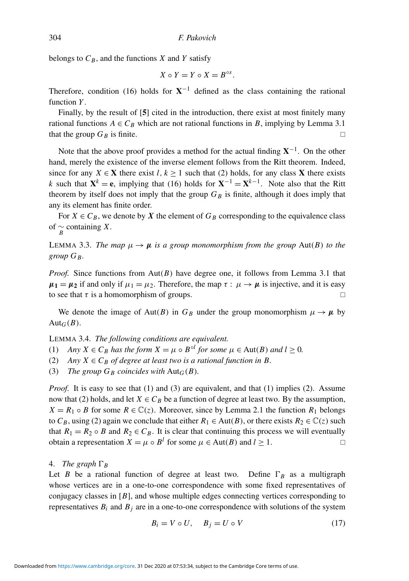belongs to  $C_B$ , and the functions *X* and *Y* satisfy

$$
X\circ Y=Y\circ X=B^{\circ s}.
$$

Therefore, condition [\(16\)](#page-8-1) holds for  $X^{-1}$  defined as the class containing the rational function *Y*.

Finally, by the result of [[5](#page-25-4)] cited in the introduction, there exist at most finitely many rational functions  $A \in C_B$  which are not rational functions in *B*, implying by Lemma [3.1](#page-7-2) that the group  $G_B$  is finite.

Note that the above proof provides a method for the actual finding  $X^{-1}$ . On the other hand, merely the existence of the inverse element follows from the Ritt theorem. Indeed, since for any *X*  $\in$  **X** there exist *l*, *k*  $\geq$  1 such that [\(2\)](#page-1-0) holds, for any class **X** there exists *k* such that  $X^k = e$ , implying that [\(16\)](#page-8-1) holds for  $X^{-1} = X^{k-1}$ . Note also that the Ritt theorem by itself does not imply that the group  $G_B$  is finite, although it does imply that any its element has finite order.

For  $X \in C_B$ , we denote by X the element of  $G_B$  corresponding to the equivalence class of  $\frac{\sim}{B}$  containing *X*.

LEMMA 3.3. *The map*  $\mu \rightarrow \mu$  *is a group monomorphism from the group* Aut(*B*) *to the group GB.*

*Proof.* Since functions from Aut(*B*) have degree one, it follows from Lemma [3.1](#page-7-2) that  $\mu_1 = \mu_2$  if and only if  $\mu_1 = \mu_2$ . Therefore, the map  $\tau : \mu \to \mu$  is injective, and it is easy to see that  $\tau$  is a homomorphism of groups.

We denote the image of Aut(*B*) in  $G_B$  under the group monomorphism  $\mu \to \mu$  by Aut<sub>*G*</sub>( $B$ ).

<span id="page-9-1"></span>LEMMA 3.4. *The following conditions are equivalent.*

(1) *Any*  $X \in C_B$  *has the form*  $X = \mu \circ B^{\circ l}$  *for some*  $\mu \in \text{Aut}(B)$  *and*  $l \ge 0$ *.* 

(2) *Any*  $X \in C_B$  *of degree at least two is a rational function in B.* 

(3) *The group*  $G_B$  *coincides with*  $Aut_G(B)$ *.* 

*Proof.* It is easy to see that (1) and (3) are equivalent, and that (1) implies (2). Assume now that (2) holds, and let  $X \in C_B$  be a function of degree at least two. By the assumption,  $X = R_1 \circ B$  for some  $R \in \mathbb{C}(\mathfrak{z})$ . Moreover, since by Lemma [2.1](#page-3-0) the function  $R_1$  belongs to  $C_B$ , using (2) again we conclude that either  $R_1 \in \text{Aut}(B)$ , or there exists  $R_2 \in \mathbb{C}(z)$  such that  $R_1 = R_2 \circ B$  and  $R_2 \in C_B$ . It is clear that continuing this process we will eventually obtain a representation  $X = \mu \circ B^l$  for some  $\mu \in Aut(B)$  and  $l \ge 1$ .

## 4. *The graph*  $\Gamma_B$

Let *B* be a rational function of degree at least two. Define  $\Gamma_B$  as a multigraph whose vertices are in a one-to-one correspondence with some fixed representatives of conjugacy classes in [*B*], and whose multiple edges connecting vertices corresponding to representatives  $B_i$  and  $B_j$  are in a one-to-one correspondence with solutions of the system

<span id="page-9-0"></span>
$$
B_i = V \circ U, \quad B_j = U \circ V \tag{17}
$$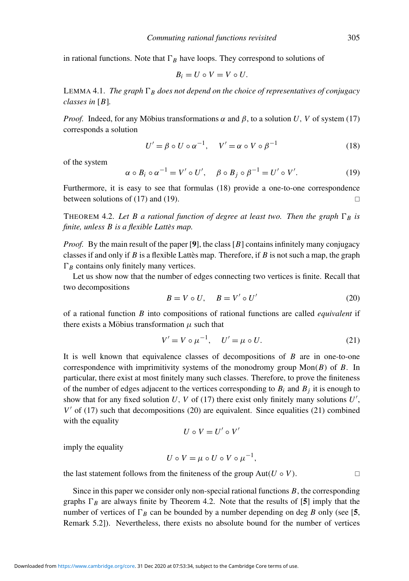in rational functions. Note that  $\Gamma_B$  have loops. They correspond to solutions of

$$
B_i = U \circ V = V \circ U.
$$

LEMMA 4.1. *The graph*  $\Gamma_B$  *does not depend on the choice of representatives of conjugacy classes in* [*B*]*.*

*Proof.* Indeed, for any Möbius transformations  $\alpha$  and  $\beta$ , to a solution *U*, *V* of system [\(17\)](#page-9-0) corresponds a solution

<span id="page-10-0"></span>
$$
U' = \beta \circ U \circ \alpha^{-1}, \quad V' = \alpha \circ V \circ \beta^{-1}
$$
 (18)

of the system

<span id="page-10-1"></span>
$$
\alpha \circ B_i \circ \alpha^{-1} = V' \circ U', \quad \beta \circ B_j \circ \beta^{-1} = U' \circ V'. \tag{19}
$$

Furthermore, it is easy to see that formulas [\(18\)](#page-10-0) provide a one-to-one correspondence between solutions of [\(17\)](#page-9-0) and [\(19\)](#page-10-1).  $\Box$ 

<span id="page-10-4"></span>THEOREM 4.2. Let B a rational function of degree at least two. Then the graph  $\Gamma_B$  is *finite, unless B is a flexible Lattes map. `*

*Proof.* By the main result of the paper [[9](#page-25-8)], the class [B] contains infinitely many conjugacy classes if and only if  $B$  is a flexible Lattes map. Therefore, if  $B$  is not such a map, the graph  $\Gamma_B$  contains only finitely many vertices.

Let us show now that the number of edges connecting two vertices is finite. Recall that two decompositions

<span id="page-10-2"></span>
$$
B = V \circ U, \quad B = V' \circ U'
$$
 (20)

of a rational function *B* into compositions of rational functions are called *equivalent* if there exists a Möbius transformation  $\mu$  such that

<span id="page-10-3"></span>
$$
V' = V \circ \mu^{-1}, \quad U' = \mu \circ U.
$$
 (21)

It is well known that equivalence classes of decompositions of *B* are in one-to-one correspondence with imprimitivity systems of the monodromy group  $Mon(B)$  of  $B$ . In particular, there exist at most finitely many such classes. Therefore, to prove the finiteness of the number of edges adjacent to the vertices corresponding to  $B_i$  and  $B_j$  it is enough to show that for any fixed solution  $U$ ,  $V$  of [\(17\)](#page-9-0) there exist only finitely many solutions  $U'$ ,  $V'$  of [\(17\)](#page-9-0) such that decompositions [\(20\)](#page-10-2) are equivalent. Since equalities [\(21\)](#page-10-3) combined with the equality

$$
U\mathrel{\circ} V=U'\mathrel{\circ} V'
$$

imply the equality

$$
U\circ V=\mu\circ U\circ V\circ\mu^{-1},
$$

the last statement follows from the finiteness of the group  $Aut(U \circ V)$ .

Since in this paper we consider only non-special rational functions *B*, the corresponding graphs  $\Gamma_B$  are always finite by Theorem [4.2.](#page-10-4) Note that the results of [[5](#page-25-4)] imply that the number of vertices of  $\Gamma_B$  can be bounded by a number depending on deg *B* only (see [[5](#page-25-4), Remark 5.2]). Nevertheless, there exists no absolute bound for the number of vertices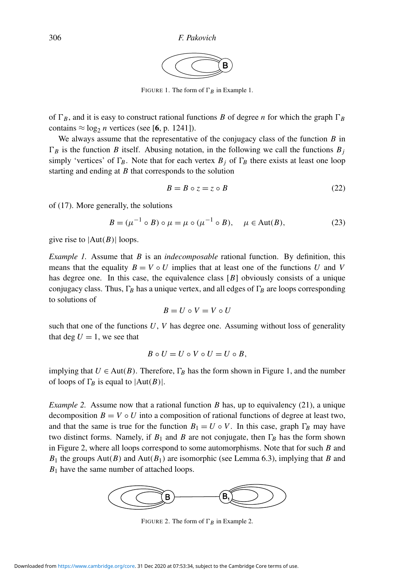

FIGURE [1.](#page-11-0) The form of  $\Gamma_B$  in Example 1.

<span id="page-11-1"></span>of  $\Gamma_B$ , and it is easy to construct rational functions *B* of degree *n* for which the graph  $\Gamma_B$ contains  $\approx \log_2 n$  vertices (see [**[6](#page-25-5)**, p. 1241]).

We always assume that the representative of the conjugacy class of the function *B* in  $\Gamma_B$  is the function *B* itself. Abusing notation, in the following we call the functions  $B_j$ simply 'vertices' of  $\Gamma_B$ . Note that for each vertex  $B_j$  of  $\Gamma_B$  there exists at least one loop starting and ending at *B* that corresponds to the solution

<span id="page-11-5"></span>
$$
B = B \circ z = z \circ B \tag{22}
$$

of [\(17\)](#page-9-0). More generally, the solutions

<span id="page-11-4"></span>
$$
B = (\mu^{-1} \circ B) \circ \mu = \mu \circ (\mu^{-1} \circ B), \quad \mu \in \text{Aut}(B), \tag{23}
$$

give rise to  $|Aut(B)|$  loops.

<span id="page-11-0"></span>*Example 1.* Assume that *B* is an *indecomposable* rational function. By definition, this means that the equality  $B = V \circ U$  implies that at least one of the functions *U* and *V* has degree one. In this case, the equivalence class [B] obviously consists of a unique conjugacy class. Thus,  $\Gamma_B$  has a unique vertex, and all edges of  $\Gamma_B$  are loops corresponding to solutions of

$$
B=U\mathrel{\circ} V=V\mathrel{\circ} U
$$

such that one of the functions  $U$ ,  $V$  has degree one. Assuming without loss of generality that deg  $U = 1$ , we see that

$$
B\circ U=U\circ V\circ U=U\circ B,
$$

implying that  $U \in Aut(B)$ . Therefore,  $\Gamma_B$  has the form shown in Figure [1,](#page-11-1) and the number of loops of  $\Gamma_B$  is equal to  $|Aut(B)|$ .

<span id="page-11-3"></span>*Example 2.* Assume now that a rational function *B* has, up to equivalency [\(21\)](#page-10-3), a unique decomposition  $B = V \circ U$  into a composition of rational functions of degree at least two, and that the same is true for the function  $B_1 = U \circ V$ . In this case, graph  $\Gamma_B$  may have two distinct forms. Namely, if  $B_1$  and  $B$  are not conjugate, then  $\Gamma_B$  has the form shown in Figure [2,](#page-11-2) where all loops correspond to some automorphisms. Note that for such *B* and *B*<sup>1</sup> the groups Aut(*B*) and Aut(*B*1) are isomorphic (see Lemma [6.3\)](#page-17-0), implying that *B* and *B*<sub>1</sub> have the same number of attached loops.

<span id="page-11-2"></span>

FIGURE [2.](#page-11-3) The form of  $\Gamma_R$  in Example 2.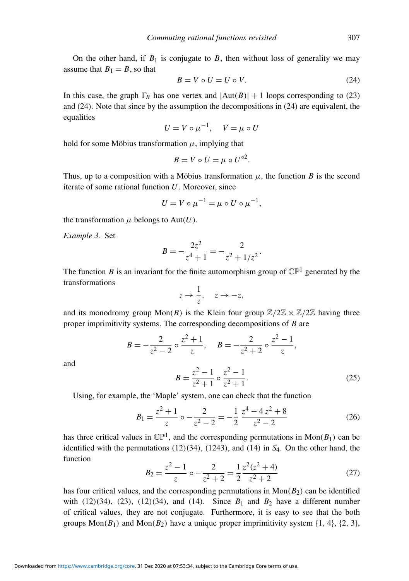On the other hand, if  $B_1$  is conjugate to  $B$ , then without loss of generality we may assume that  $B_1 = B$ , so that

<span id="page-12-0"></span>
$$
B = V \circ U = U \circ V. \tag{24}
$$

In this case, the graph  $\Gamma_B$  has one vertex and  $|\text{Aut}(B)| + 1$  loops corresponding to [\(23\)](#page-11-4) and [\(24\)](#page-12-0). Note that since by the assumption the decompositions in [\(24\)](#page-12-0) are equivalent, the equalities

$$
U = V \circ \mu^{-1}, \quad V = \mu \circ U
$$

hold for some Möbius transformation  $\mu$ , implying that

$$
B=V\circ U=\mu\circ U^{\circ 2}.
$$

Thus, up to a composition with a Möbius transformation  $\mu$ , the function *B* is the second iterate of some rational function *U*. Moreover, since

$$
U = V \circ \mu^{-1} = \mu \circ U \circ \mu^{-1},
$$

the transformation  $\mu$  belongs to Aut( $U$ ).

<span id="page-12-1"></span>*Example 3.* Set

$$
B = -\frac{2z^2}{z^4 + 1} = -\frac{2}{z^2 + 1/z^2}.
$$

The function *B* is an invariant for the finite automorphism group of  $\mathbb{CP}^1$  generated by the transformations

$$
z \to \frac{1}{z}, \quad z \to -z,
$$

and its monodromy group  $Mon(B)$  is the Klein four group  $\mathbb{Z}/2\mathbb{Z} \times \mathbb{Z}/2\mathbb{Z}$  having three proper imprimitivity systems. The corresponding decompositions of *B* are

$$
B = -\frac{2}{z^2 - 2} \circ \frac{z^2 + 1}{z}, \quad B = -\frac{2}{z^2 + 2} \circ \frac{z^2 - 1}{z},
$$

$$
B = \frac{z^2 - 1}{z^2 + 1} \circ \frac{z^2 - 1}{z^2 + 1}.
$$
(25)

and

Using, for example, the 'Maple' system, one can check that the function

<span id="page-12-4"></span><span id="page-12-2"></span>
$$
B_1 = \frac{z^2 + 1}{z} \circ -\frac{2}{z^2 - 2} = -\frac{1}{2} \frac{z^4 - 4z^2 + 8}{z^2 - 2} \tag{26}
$$

has three critical values in  $\mathbb{CP}^1$ , and the corresponding permutations in Mon( $B_1$ ) can be identified with the permutations (12)(34), (1243), and (14) in *S*4. On the other hand, the function

<span id="page-12-3"></span>
$$
B_2 = \frac{z^2 - 1}{z} \circ -\frac{2}{z^2 + 2} = \frac{1}{2} \frac{z^2 (z^2 + 4)}{z^2 + 2}
$$
(27)

has four critical values, and the corresponding permutations in  $Mon(B_2)$  can be identified with  $(12)(34)$ ,  $(23)$ ,  $(12)(34)$ , and  $(14)$ . Since  $B_1$  and  $B_2$  have a different number of critical values, they are not conjugate. Furthermore, it is easy to see that the both groups  $Mon(B_1)$  and  $Mon(B_2)$  have a unique proper imprimitivity system  $\{1, 4\}$ ,  $\{2, 3\}$ ,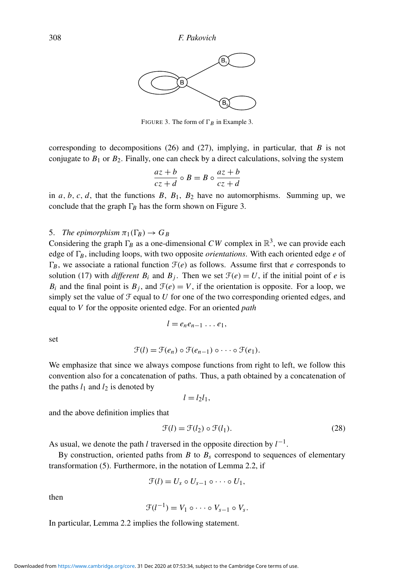<span id="page-13-0"></span>

FIGURE [3.](#page-12-1) The form of  $\Gamma_B$  in Example 3.

corresponding to decompositions [\(26\)](#page-12-2) and [\(27\)](#page-12-3), implying, in particular, that *B* is not conjugate to  $B_1$  or  $B_2$ . Finally, one can check by a direct calculations, solving the system

$$
\frac{az+b}{cz+d} \circ B = B \circ \frac{az+b}{cz+d}
$$

in  $a, b, c, d$ , that the functions  $B, B_1, B_2$  have no automorphisms. Summing up, we conclude that the graph  $\Gamma_B$  has the form shown on Figure [3.](#page-13-0)

## 5. *The epimorphism*  $\pi_1(\Gamma_B) \to G_B$

Considering the graph  $\Gamma_B$  as a one-dimensional CW complex in  $\mathbb{R}^3$ , we can provide each edge of  $\Gamma_B$ , including loops, with two opposite *orientations*. With each oriented edge *e* of  $\Gamma_B$ , we associate a rational function  $\mathcal{F}(e)$  as follows. Assume first that *e* corresponds to solution [\(17\)](#page-9-0) with *different*  $B_i$  and  $B_j$ . Then we set  $\mathcal{F}(e) = U$ , if the initial point of *e* is  $B_i$  and the final point is  $B_j$ , and  $\mathcal{F}(e) = V$ , if the orientation is opposite. For a loop, we simply set the value of  $\mathcal F$  equal to  $U$  for one of the two corresponding oriented edges, and equal to *V* for the opposite oriented edge. For an oriented *path*

$$
l=e_ne_{n-1}\ldots e_1,
$$

set

$$
\mathcal{F}(l) = \mathcal{F}(e_n) \circ \mathcal{F}(e_{n-1}) \circ \cdots \circ \mathcal{F}(e_1).
$$

We emphasize that since we always compose functions from right to left, we follow this convention also for a concatenation of paths. Thus, a path obtained by a concatenation of the paths  $l_1$  and  $l_2$  is denoted by

$$
l=l_2l_1,
$$

and the above definition implies that

<span id="page-13-1"></span>
$$
\mathcal{F}(l) = \mathcal{F}(l_2) \circ \mathcal{F}(l_1). \tag{28}
$$

As usual, we denote the path *l* traversed in the opposite direction by  $l^{-1}$ .

By construction, oriented paths from  $B$  to  $B_s$  correspond to sequences of elementary transformation [\(5\)](#page-4-1). Furthermore, in the notation of Lemma [2.2,](#page-4-0) if

$$
\mathcal{F}(l)=U_s\circ U_{s-1}\circ\cdots\circ U_1,
$$

then

$$
\mathfrak{F}(l^{-1})=V_1\circ\cdots\circ V_{s-1}\circ V_s.
$$

In particular, Lemma [2.2](#page-4-0) implies the following statement.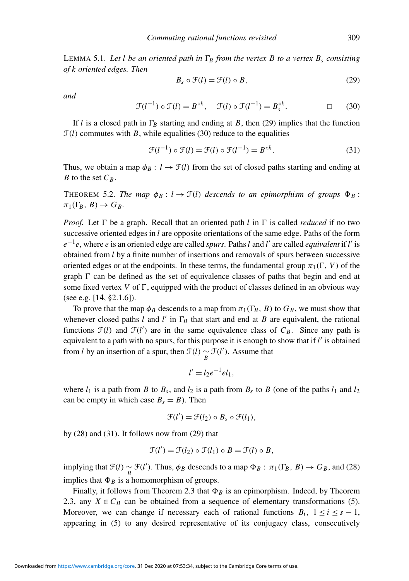<span id="page-14-4"></span>LEMMA 5.1. Let *l* be an oriented path in  $\Gamma_B$  from the vertex B to a vertex  $B_s$  consisting *of k oriented edges. Then*

<span id="page-14-0"></span>
$$
B_s \circ \mathcal{F}(l) = \mathcal{F}(l) \circ B,\tag{29}
$$

*and*

<span id="page-14-1"></span>
$$
\mathcal{F}(l^{-1}) \circ \mathcal{F}(l) = B^{\circ k}, \quad \mathcal{F}(l) \circ \mathcal{F}(l^{-1}) = B^{\circ k}_{s}.
$$
 (30)

If *l* is a closed path in  $\Gamma_B$  starting and ending at *B*, then [\(29\)](#page-14-0) implies that the function  $\mathcal{F}(l)$  commutes with *B*, while equalities [\(30\)](#page-14-1) reduce to the equalities

<span id="page-14-2"></span>
$$
\mathcal{F}(l^{-1}) \circ \mathcal{F}(l) = \mathcal{F}(l) \circ \mathcal{F}(l^{-1}) = B^{\circ k}.
$$
 (31)

Thus, we obtain a map  $\phi_B: l \to \mathcal{F}(l)$  from the set of closed paths starting and ending at *B* to the set  $C_B$ .

<span id="page-14-3"></span>**THEOREM 5.2.** *The map*  $\phi_B$ :  $l \rightarrow \mathcal{F}(l)$  descends to an epimorphism of groups  $\Phi_B$ :  $\pi_1(\Gamma_R, B) \to G_R$ .

*Proof.* Let  $\Gamma$  be a graph. Recall that an oriented path *l* in  $\Gamma$  is called *reduced* if no two successive oriented edges in *l* are opposite orientations of the same edge. Paths of the form  $e^{-1}e$ , where *e* is an oriented edge are called *spurs*. Paths *l* and *l*' are called *equivalent* if *l*' is obtained from *l* by a finite number of insertions and removals of spurs between successive oriented edges or at the endpoints. In these terms, the fundamental group  $\pi_1(\Gamma, V)$  of the graph  $\Gamma$  can be defined as the set of equivalence classes of paths that begin and end at some fixed vertex  $V$  of  $\Gamma$ , equipped with the product of classes defined in an obvious way (see e.g. [[14](#page-25-9), §2.1.6]).

To prove that the map  $\phi_B$  descends to a map from  $\pi_1(\Gamma_B, B)$  to  $G_B$ , we must show that whenever closed paths  $l$  and  $l'$  in  $\Gamma_B$  that start and end at  $B$  are equivalent, the rational functions  $\mathcal{F}(l)$  and  $\mathcal{F}(l')$  are in the same equivalence class of  $C_B$ . Since any path is equivalent to a path with no spurs, for this purpose it is enough to show that if *l'* is obtained from *l* by an insertion of a spur, then  $\mathcal{F}(l) \sim \mathcal{F}(l')$ . Assume that

$$
l'=l_2e^{-1}el_1,
$$

where  $l_1$  is a path from *B* to  $B_s$ , and  $l_2$  is a path from  $B_s$  to *B* (one of the paths  $l_1$  and  $l_2$ can be empty in which case  $B_s = B$ ). Then

$$
\mathfrak{F}(l') = \mathfrak{F}(l_2) \circ B_s \circ \mathfrak{F}(l_1),
$$

by [\(28\)](#page-13-1) and [\(31\)](#page-14-2). It follows now from [\(29\)](#page-14-0) that

$$
\mathcal{F}(l') = \mathcal{F}(l_2) \circ \mathcal{F}(l_1) \circ B = \mathcal{F}(l) \circ B,
$$

implying that  $\mathcal{F}(l) \sim \mathcal{F}(l')$ . Thus,  $\phi_B$  descends to a map  $\Phi_B : \pi_1(\Gamma_B, B) \to G_B$ , and [\(28\)](#page-13-1) implies that  $\Phi_B$  is a homomorphism of groups.

Finally, it follows from Theorem [2.3](#page-4-2) that  $\Phi_B$  is an epimorphism. Indeed, by Theorem [2.3,](#page-4-2) any  $X \in C_B$  can be obtained from a sequence of elementary transformations [\(5\)](#page-4-1). Moreover, we can change if necessary each of rational functions  $B_i$ ,  $1 \le i \le s - 1$ , appearing in [\(5\)](#page-4-1) to any desired representative of its conjugacy class, consecutively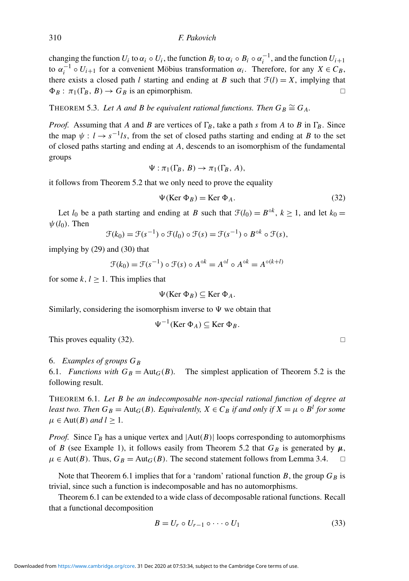changing the function  $U_i$  to  $\alpha_i \circ U_i$ , the function  $B_i$  to  $\alpha_i \circ B_i \circ \alpha_i^{-1}$ , and the function  $U_{i+1}$ to  $\alpha_i^{-1} \circ U_{i+1}$  for a convenient Möbius transformation  $\alpha_i$ . Therefore, for any  $X \in C_B$ , there exists a closed path *l* starting and ending at *B* such that  $\mathcal{F}(l) = X$ , implying that  $\Phi_B: \pi_1(\Gamma_B, B) \to G_B$  is an epimorphism.

<span id="page-15-3"></span>THEOREM 5.3. Let A and B be equivalent rational functions. Then  $G_B \cong G_A$ .

*Proof.* Assuming that *A* and *B* are vertices of  $\Gamma_B$ , take a path *s* from *A* to *B* in  $\Gamma_B$ . Since the map  $\psi : l \to s^{-1}l_s$ , from the set of closed paths starting and ending at *B* to the set of closed paths starting and ending at *A*, descends to an isomorphism of the fundamental groups

$$
\Psi : \pi_1(\Gamma_B, B) \to \pi_1(\Gamma_B, A),
$$

it follows from Theorem [5.2](#page-14-3) that we only need to prove the equality

<span id="page-15-0"></span>
$$
\Psi(\text{Ker }\Phi_B) = \text{Ker }\Phi_A. \tag{32}
$$

Let *l*<sub>0</sub> be a path starting and ending at *B* such that  $\mathcal{F}(l_0) = B^{\circ k}$ ,  $k \ge 1$ , and let  $k_0 =$  $\psi(l_0)$ . Then

$$
\mathcal{F}(k_0) = \mathcal{F}(s^{-1}) \circ \mathcal{F}(l_0) \circ \mathcal{F}(s) = \mathcal{F}(s^{-1}) \circ B^{\circ k} \circ \mathcal{F}(s),
$$

implying by [\(29\)](#page-14-0) and [\(30\)](#page-14-1) that

$$
\mathcal{F}(k_0) = \mathcal{F}(s^{-1}) \circ \mathcal{F}(s) \circ A^{\circ k} = A^{\circ l} \circ A^{\circ k} = A^{\circ (k+l)}
$$

for some  $k, l \geq 1$ . This implies that

$$
\Psi(\text{Ker }\Phi_B) \subseteq \text{Ker }\Phi_A.
$$

Similarly, considering the isomorphism inverse to  $\Psi$  we obtain that

$$
\Psi^{-1}(\text{Ker }\Phi_A) \subseteq \text{Ker }\Phi_B.
$$

This proves equality [\(32\)](#page-15-0).

#### 6. *Examples of groups G<sup>B</sup>*

6.1. *Functions with*  $G_B = \text{Aut}_G(B)$ . The simplest application of Theorem [5.2](#page-14-3) is the following result.

<span id="page-15-1"></span>THEOREM 6.1. *Let B be an indecomposable non-special rational function of degree at least two. Then*  $G_B = \text{Aut}_G(B)$ *. Equivalently,*  $X \in C_B$  *if and only if*  $X = \mu \circ B^l$  *for some*  $\mu$  ∈ Aut(*B*) *and l* ≥ 1.

*Proof.* Since  $\Gamma_B$  has a unique vertex and  $|\text{Aut}(B)|$  loops corresponding to automorphisms of *B* (see Example [1\)](#page-11-0), it follows easily from Theorem [5.2](#page-14-3) that  $G_B$  is generated by  $\mu$ ,  $\mu$  ∈ Aut(*B*). Thus,  $G_B$  = Aut<sub>*G*</sub>(*B*). The second statement follows from Lemma [3.4.](#page-9-1) □

Note that Theorem [6.1](#page-15-1) implies that for a 'random' rational function *B*, the group  $G_B$  is trivial, since such a function is indecomposable and has no automorphisms.

Theorem [6.1](#page-15-1) can be extended to a wide class of decomposable rational functions. Recall that a functional decomposition

<span id="page-15-2"></span>
$$
B = U_r \circ U_{r-1} \circ \cdots \circ U_1 \tag{33}
$$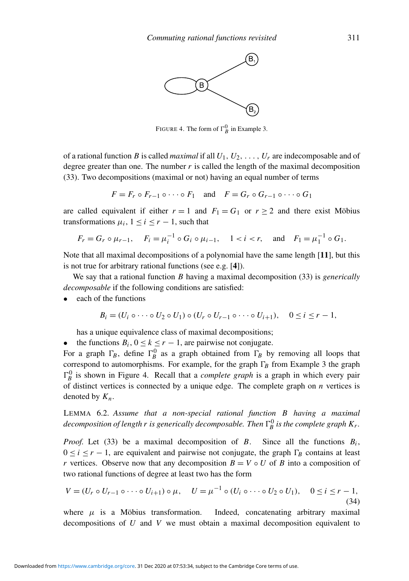<span id="page-16-0"></span>

FIGURE 4. The form of  $\Gamma_B^0$  in Example [3.](#page-12-1)

of a rational function *B* is called *maximal* if all  $U_1, U_2, \ldots, U_r$  are indecomposable and of degree greater than one. The number  $r$  is called the length of the maximal decomposition [\(33\)](#page-15-2). Two decompositions (maximal or not) having an equal number of terms

$$
F = F_r \circ F_{r-1} \circ \cdots \circ F_1 \quad \text{and} \quad F = G_r \circ G_{r-1} \circ \cdots \circ G_1
$$

are called equivalent if either  $r = 1$  and  $F_1 = G_1$  or  $r \ge 2$  and there exist Möbius transformations  $\mu_i$ ,  $1 \le i \le r - 1$ , such that

$$
F_r = G_r \circ \mu_{r-1}
$$
,  $F_i = \mu_i^{-1} \circ G_i \circ \mu_{i-1}$ ,  $1 < i < r$ , and  $F_1 = \mu_1^{-1} \circ G_1$ .

Note that all maximal decompositions of a polynomial have the same length [[11](#page-25-10)], but this is not true for arbitrary rational functions (see e.g. [[4](#page-25-11)]).

We say that a rational function *B* having a maximal decomposition [\(33\)](#page-15-2) is *generically decomposable* if the following conditions are satisfied:

• each of the functions

$$
B_i = (U_i \circ \cdots \circ U_2 \circ U_1) \circ (U_r \circ U_{r-1} \circ \cdots \circ U_{i+1}), \quad 0 \leq i \leq r-1,
$$

has a unique equivalence class of maximal decompositions;

• the functions  $B_i$ ,  $0 \le k \le r - 1$ , are pairwise not conjugate.

For a graph  $\Gamma_B$ , define  $\Gamma_B^0$  as a graph obtained from  $\Gamma_B$  by removing all loops that correspond to automorphisms. For example, for the graph  $\Gamma_B$  from Example [3](#page-12-1) the graph  $\Gamma_B^0$  is shown in Figure [4.](#page-16-0) Recall that a *complete graph* is a graph in which every pair of distinct vertices is connected by a unique edge. The complete graph on *n* vertices is denoted by *Kn*.

<span id="page-16-2"></span>LEMMA 6.2. *Assume that a non-special rational function B having a maximal* decomposition of length  $r$  is generically decomposable. Then  $\Gamma_B^0$  is the complete graph  $K_r$ .

*Proof.* Let [\(33\)](#page-15-2) be a maximal decomposition of *B*. Since all the functions  $B_i$ ,  $0 \le i \le r - 1$ , are equivalent and pairwise not conjugate, the graph  $\Gamma_B$  contains at least *r* vertices. Observe now that any decomposition  $B = V \circ U$  of *B* into a composition of two rational functions of degree at least two has the form

<span id="page-16-1"></span>
$$
V = (U_r \circ U_{r-1} \circ \cdots \circ U_{i+1}) \circ \mu, \quad U = \mu^{-1} \circ (U_i \circ \cdots \circ U_2 \circ U_1), \quad 0 \le i \le r-1,
$$
\n(34)

where  $\mu$  is a Möbius transformation. Indeed, concatenating arbitrary maximal decompositions of *U* and *V* we must obtain a maximal decomposition equivalent to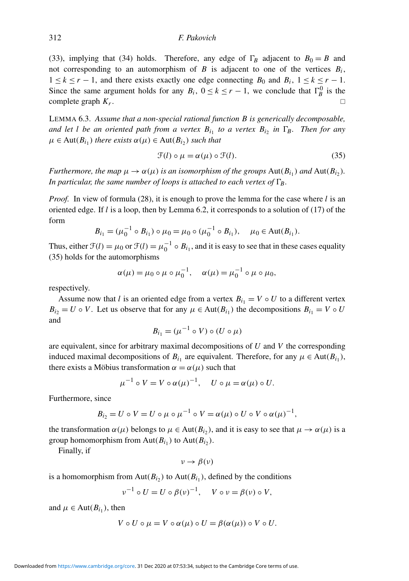[\(33\)](#page-15-2), implying that [\(34\)](#page-16-1) holds. Therefore, any edge of  $\Gamma_B$  adjacent to  $B_0 = B$  and not corresponding to an automorphism of  $B$  is adjacent to one of the vertices  $B_i$ ,  $1 \leq k \leq r - 1$ , and there exists exactly one edge connecting  $B_0$  and  $B_i$ ,  $1 \leq k \leq r - 1$ . Since the same argument holds for any  $B_i$ ,  $0 \le k \le r - 1$ , we conclude that  $\Gamma_B^0$  is the complete graph *K<sup>r</sup>* . The contract of the contract of the contract of the contract of the contract of the contract of the contract of the contract of the contract of the contract of the contract of the contract of the contract of the contract

<span id="page-17-0"></span>LEMMA 6.3. *Assume that a non-special rational function B is generically decomposable, and let l be an oriented path from a vertex*  $B_{i_1}$  *to a vertex*  $B_{i_2}$  *in*  $\Gamma_B$ *<i>. Then for any*  $\mu \in \text{Aut}(B_{i_1})$  *there exists*  $\alpha(\mu) \in \text{Aut}(B_{i_2})$  *such that* 

<span id="page-17-1"></span>
$$
\mathcal{F}(l) \circ \mu = \alpha(\mu) \circ \mathcal{F}(l). \tag{35}
$$

*Furthermore, the map*  $\mu \to \alpha(\mu)$  *is an isomorphism of the groups*  $Aut(B_{i_1})$  *and*  $Aut(B_{i_2})$ *. In particular, the same number of loops is attached to each vertex of*  $\Gamma_B$ *.* 

*Proof.* In view of formula [\(28\)](#page-13-1), it is enough to prove the lemma for the case where *l* is an oriented edge. If *l* is a loop, then by Lemma [6.2,](#page-16-2) it corresponds to a solution of [\(17\)](#page-9-0) of the form

$$
B_{i_1} = (\mu_0^{-1} \circ B_{i_1}) \circ \mu_0 = \mu_0 \circ (\mu_0^{-1} \circ B_{i_1}), \quad \mu_0 \in \text{Aut}(B_{i_1}).
$$

Thus, either  $\mathcal{F}(l) = \mu_0$  or  $\mathcal{F}(l) = \mu_0^{-1} \circ B_{i_1}$ , and it is easy to see that in these cases equality [\(35\)](#page-17-1) holds for the automorphisms

$$
\alpha(\mu) = \mu_0 \circ \mu \circ \mu_0^{-1}, \quad \alpha(\mu) = \mu_0^{-1} \circ \mu \circ \mu_0,
$$

respectively.

Assume now that *l* is an oriented edge from a vertex  $B_{i1} = V \circ U$  to a different vertex  $B_{i_2} = U \circ V$ . Let us observe that for any  $\mu \in Aut(B_{i_1})$  the decompositions  $B_{i_1} = V \circ U$ and

$$
B_{i_1} = (\mu^{-1} \circ V) \circ (U \circ \mu)
$$

are equivalent, since for arbitrary maximal decompositions of *U* and *V* the corresponding induced maximal decompositions of  $B_{i_1}$  are equivalent. Therefore, for any  $\mu \in Aut(B_{i_1})$ , there exists a Möbius transformation  $\alpha = \alpha(\mu)$  such that

$$
\mu^{-1} \circ V = V \circ \alpha(\mu)^{-1}, \quad U \circ \mu = \alpha(\mu) \circ U.
$$

Furthermore, since

$$
B_{i_2} = U \circ V = U \circ \mu \circ \mu^{-1} \circ V = \alpha(\mu) \circ U \circ V \circ \alpha(\mu)^{-1},
$$

the transformation  $\alpha(\mu)$  belongs to  $\mu \in Aut(B_{i_2})$ , and it is easy to see that  $\mu \to \alpha(\mu)$  is a group homomorphism from  $Aut(B_{i_1})$  to  $Aut(B_{i_2})$ .

Finally, if

$$
v\to\beta(v)
$$

is a homomorphism from  $Aut(B_{i_2})$  to  $Aut(B_{i_1})$ , defined by the conditions

$$
\nu^{-1} \circ U = U \circ \beta(\nu)^{-1}, \quad V \circ \nu = \beta(\nu) \circ V,
$$

and  $\mu \in \text{Aut}(B_{i_1})$ , then

$$
V \circ U \circ \mu = V \circ \alpha(\mu) \circ U = \beta(\alpha(\mu)) \circ V \circ U.
$$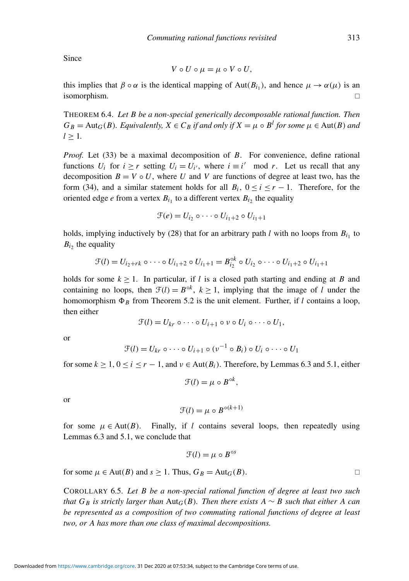Since

$$
V\circ U\circ \mu=\mu\circ V\circ U,
$$

this implies that  $\beta \circ \alpha$  is the identical mapping of Aut( $B_{i_1}$ ), and hence  $\mu \to \alpha(\mu)$  is an isomorphism.

<span id="page-18-0"></span>THEOREM 6.4. *Let B be a non-special generically decomposable rational function. Then*  $G_B = \text{Aut}_G(B)$ *. Equivalently,*  $X \in C_B$  *if and only if*  $X = \mu \circ B^l$  *for some*  $\mu \in \text{Aut}(B)$  *and*  $l > 1$ .

*Proof.* Let [\(33\)](#page-15-2) be a maximal decomposition of *B*. For convenience, define rational functions  $U_i$  for  $i \ge r$  setting  $U_i = U_{i'}$ , where  $i \equiv i' \mod r$ . Let us recall that any decomposition  $B = V \circ U$ , where *U* and *V* are functions of degree at least two, has the form [\(34\)](#page-16-1), and a similar statement holds for all  $B_i$ ,  $0 \le i \le r - 1$ . Therefore, for the oriented edge *e* from a vertex  $B_{i_1}$  to a different vertex  $B_{i_2}$  the equality

$$
\mathcal{F}(e) = U_{i_2} \circ \cdots \circ U_{i_1+2} \circ U_{i_1+1}
$$

holds, implying inductively by  $(28)$  that for an arbitrary path *l* with no loops from  $B_{i_1}$  to  $B_{i_2}$  the equality

$$
\mathcal{F}(l) = U_{i_2 + rk} \circ \cdots \circ U_{i_1 + 2} \circ U_{i_1 + 1} = B_{i_2}^{\circ k} \circ U_{i_2} \circ \cdots \circ U_{i_1 + 2} \circ U_{i_1 + 1}
$$

holds for some  $k \geq 1$ . In particular, if *l* is a closed path starting and ending at *B* and containing no loops, then  $\mathcal{F}(l) = B^{\circ k}$ ,  $k \ge 1$ , implying that the image of *l* under the homomorphism  $\Phi_B$  from Theorem [5.2](#page-14-3) is the unit element. Further, if *l* contains a loop, then either

 $\mathcal{F}(l) = U_{kr} \circ \cdots \circ U_{i+1} \circ \nu \circ U_i \circ \cdots \circ U_1$ 

or

$$
\mathcal{F}(l) = U_{kr} \circ \cdots \circ U_{i+1} \circ (\nu^{-1} \circ B_i) \circ U_i \circ \cdots \circ U_1
$$

for some  $k \ge 1$ ,  $0 \le i \le r - 1$ , and  $v \in Aut(B_i)$ . Therefore, by Lemmas [6.3](#page-17-0) and [5.1,](#page-14-4) either

$$
\mathcal{F}(l) = \mu \circ B^{\circ k},
$$

or

$$
\mathcal{F}(l) = \mu \circ B^{\circ (k+1)}
$$

for some  $\mu \in Aut(B)$ . Finally, if *l* contains several loops, then repeatedly using Lemmas [6.3](#page-17-0) and [5.1,](#page-14-4) we conclude that

$$
\mathcal{F}(l) = \mu \circ B^{\circ s}
$$

for some  $\mu \in \text{Aut}(B)$  and  $s \ge 1$ . Thus,  $G_B = \text{Aut}_G(B)$ .

COROLLARY 6.5. *Let B be a non-special rational function of degree at least two such that*  $G_B$  *is strictly larger than*  $Aut_G(B)$ *. Then there exists*  $A \sim B$  *such that either* A *can be represented as a composition of two commuting rational functions of degree at least two, or A has more than one class of maximal decompositions.*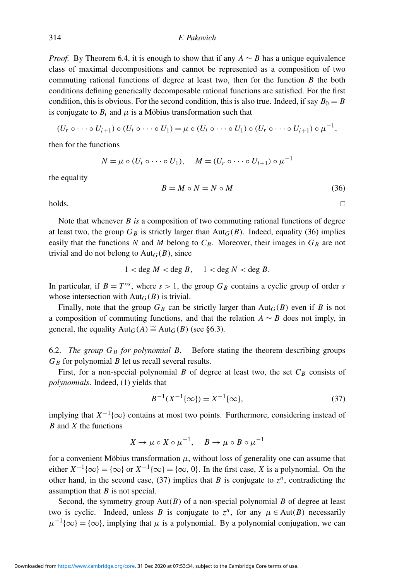*Proof.* By Theorem [6.4,](#page-18-0) it is enough to show that if any  $A \sim B$  has a unique equivalence class of maximal decompositions and cannot be represented as a composition of two commuting rational functions of degree at least two, then for the function *B* the both conditions defining generically decomposable rational functions are satisfied. For the first condition, this is obvious. For the second condition, this is also true. Indeed, if say  $B_0 = B$ is conjugate to  $B_i$  and  $\mu$  is a Möbius transformation such that

$$
(U_r \circ \cdots \circ U_{i+1}) \circ (U_i \circ \cdots \circ U_1) = \mu \circ (U_i \circ \cdots \circ U_1) \circ (U_r \circ \cdots \circ U_{i+1}) \circ \mu^{-1},
$$

then for the functions

$$
N = \mu \circ (U_i \circ \cdots \circ U_1), \quad M = (U_r \circ \cdots \circ U_{i+1}) \circ \mu^{-1}
$$

the equality

<span id="page-19-0"></span>
$$
B = M \circ N = N \circ M \tag{36}
$$

 $\Box$ holds.

Note that whenever *B is* a composition of two commuting rational functions of degree at least two, the group  $G_B$  is strictly larger than Aut<sub> $G$ </sub> $(B)$ . Indeed, equality [\(36\)](#page-19-0) implies easily that the functions *N* and *M* belong to  $C_B$ . Moreover, their images in  $G_B$  are not trivial and do not belong to  $Aut_G(B)$ , since

$$
1 < \deg M < \deg B, \quad 1 < \deg N < \deg B.
$$

In particular, if  $B = T^{\circ s}$ , where  $s > 1$ , the group  $G_B$  contains a cyclic group of order *s* whose intersection with  $Aut_G(B)$  is trivial.

Finally, note that the group  $G_B$  can be strictly larger than  $Aut_G(B)$  even if *B* is not a composition of commuting functions, and that the relation  $A \sim B$  does not imply, in general, the equality  $Aut_G(A) \cong Aut_G(B)$  (see [§6.3\)](#page-21-0).

6.2. *The group G<sup>B</sup> for polynomial B.* Before stating the theorem describing groups  $G_B$  for polynomial *B* let us recall several results.

First, for a non-special polynomial  $B$  of degree at least two, the set  $C_B$  consists of *polynomials*. Indeed, [\(1\)](#page-0-0) yields that

<span id="page-19-1"></span>
$$
B^{-1}(X^{-1}\{\infty\}) = X^{-1}\{\infty\},\tag{37}
$$

implying that  $X^{-1}\{\infty\}$  contains at most two points. Furthermore, considering instead of *B* and *X* the functions

$$
X \to \mu \circ X \circ \mu^{-1}, \quad B \to \mu \circ B \circ \mu^{-1}
$$

for a convenient Möbius transformation  $\mu$ , without loss of generality one can assume that either  $X^{-1}\{\infty\} = \{\infty\}$  or  $X^{-1}\{\infty\} = \{\infty, 0\}$ . In the first case, *X* is a polynomial. On the other hand, in the second case, [\(37\)](#page-19-1) implies that *B* is conjugate to  $z^n$ , contradicting the assumption that *B* is not special.

Second, the symmetry group Aut(*B*) of a non-special polynomial *B* of degree at least two is cyclic. Indeed, unless *B* is conjugate to  $z^n$ , for any  $\mu \in Aut(B)$  necessarily  $\mu^{-1} \{\infty\} = \{\infty\}$ , implying that  $\mu$  is a polynomial. By a polynomial conjugation, we can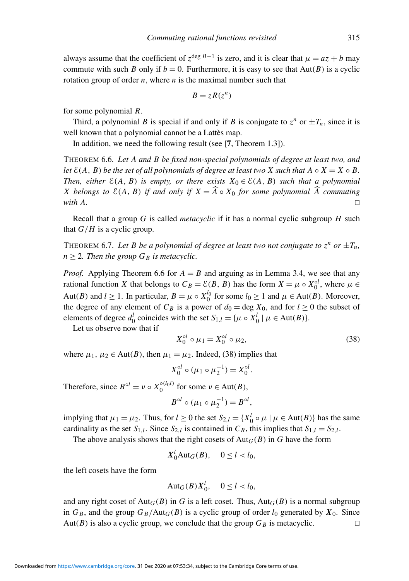always assume that the coefficient of  $z^{\deg B-1}$  is zero, and it is clear that  $\mu = az + b$  may commute with such *B* only if  $b = 0$ . Furthermore, it is easy to see that  $Aut(B)$  is a cyclic rotation group of order  $n$ , where  $n$  is the maximal number such that

$$
B=zR(z^n)
$$

for some polynomial *R*.

Third, a polynomial *B* is special if and only if *B* is conjugate to  $z^n$  or  $\pm T_n$ , since it is well known that a polynomial cannot be a Lattès map.

In addition, we need the following result (see [[7](#page-25-12), Theorem 1.3]).

<span id="page-20-0"></span>THEOREM 6.6. *Let A and B be fixed non-special polynomials of degree at least two, and let*  $\mathcal{E}(A, B)$  *be the set of all polynomials of degree at least two X such that*  $A \circ X = X \circ B$ . *Then, either*  $E(A, B)$  *is empty, or there exists*  $X_0 \in E(A, B)$  *such that a polynomial X* belongs to  $E(A, B)$  if and only if  $X = \widehat{A} \circ X_0$  for some polynomial  $\widehat{A}$  commuting with A. *with A.*

Recall that a group *G* is called *metacyclic* if it has a normal cyclic subgroup *H* such that  $G/H$  is a cyclic group.

<span id="page-20-2"></span>THEOREM 6.7. Let B be a polynomial of degree at least two not conjugate to  $z^n$  or  $\pm T_n$ ,  $n > 2$ *. Then the group*  $G_B$  *is metacyclic.* 

*Proof.* Applying Theorem [6.6](#page-20-0) for  $A = B$  and arguing as in Lemma [3.4,](#page-9-1) we see that any rational function *X* that belongs to  $C_B = \mathcal{E}(B, B)$  has the form  $X = \mu \circ X_0^{ol}$ , where  $\mu \in$ Aut(*B*) and *l*  $\geq$  1. In particular, *B* =  $\mu \circ X_0^{l_0}$  for some *l*<sub>0</sub>  $\geq$  1 and  $\mu \in$  Aut(*B*). Moreover, the degree of any element of  $C_B$  is a power of  $d_0 = \text{deg } X_0$ , and for  $l \ge 0$  the subset of elements of degree  $d_0^l$  coincides with the set  $S_{1,l} = {\mu \circ X_0^l \mid \mu \in Aut(B)}$ .

Let us observe now that if

<span id="page-20-1"></span>
$$
X_0^{ol} \circ \mu_1 = X_0^{ol} \circ \mu_2,\tag{38}
$$

where  $\mu_1, \mu_2 \in \text{Aut}(B)$ , then  $\mu_1 = \mu_2$ . Indeed, [\(38\)](#page-20-1) implies that

$$
X_0^{ol} \circ (\mu_1 \circ \mu_2^{-1}) = X_0^{ol}.
$$

Therefore, since  $B^{\circ l} = \nu \circ X_0^{\circ (l_0 l)}$  for some  $\nu \in \text{Aut}(B)$ ,

$$
B^{\circ l} \circ (\mu_1 \circ \mu_2^{-1}) = B^{\circ l},
$$

implying that  $\mu_1 = \mu_2$ . Thus, for  $l \ge 0$  the set  $S_{2,l} = \{X_0^l \circ \mu \mid \mu \in \text{Aut}(B)\}\)$  has the same cardinality as the set  $S_{1,l}$ . Since  $S_{2,l}$  is contained in  $C_B$ , this implies that  $S_{1,l} = S_{2,l}$ .

The above analysis shows that the right cosets of  $Aut_G(B)$  in *G* have the form

$$
X_0^l \text{Aut}_G(B), \quad 0 \le l < l_0,
$$

the left cosets have the form

$$
Aut_G(B)X_0^l, \quad 0 \le l < l_0,
$$

and any right coset of Aut<sub>*G*</sub>(*B*) in *G* is a left coset. Thus, Aut<sub>*G*</sub>(*B*) is a normal subgroup in  $G_B$ , and the group  $G_B$ /Aut<sub>*G*</sub>(*B*) is a cyclic group of order  $l_0$  generated by  $X_0$ . Since Aut(*B*) is also a cyclic group, we conclude that the group  $G_B$  is metacyclic.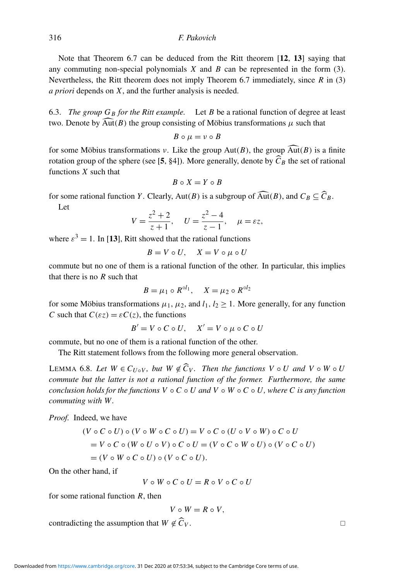Note that Theorem [6.7](#page-20-2) can be deduced from the Ritt theorem [[12](#page-25-13), [13](#page-25-2)] saying that any commuting non-special polynomials  $X$  and  $B$  can be represented in the form  $(3)$ . Nevertheless, the Ritt theorem does not imply Theorem [6.7](#page-20-2) immediately, since *R* in [\(3\)](#page-1-1) *a priori* depends on *X*, and the further analysis is needed.

<span id="page-21-0"></span>6.3. *The group G<sup>B</sup> for the Ritt example.* Let *B* be a rational function of degree at least two. Denote by  $\widehat{\text{Aut}}(B)$  the group consisting of Möbius transformations  $\mu$  such that

$$
B\circ \mu=\nu\circ B
$$

for some Möbius transformations v. Like the group Aut(*B*), the group  $\widehat{\text{Aut}}(B)$  is a finite rotation group of the sphere (see [[5](#page-25-4), §4]). More generally, denote by  $\widehat{C}_B$  the set of rational functions *X* such that

$$
B \circ X = Y \circ B
$$

for some rational function *Y*. Clearly, Aut(*B*) is a subgroup of  $\widehat{\text{Aut}}(B)$ , and  $C_B \subseteq \widehat{C}_B$ . Let

$$
\mathfrak{t} =
$$

$$
V = \frac{z^2 + 2}{z + 1}, \quad U = \frac{z^2 - 4}{z - 1}, \quad \mu = \varepsilon z,
$$

where  $\varepsilon^3 = 1$ . In [[13](#page-25-2)], Ritt showed that the rational functions

$$
B = V \circ U, \quad X = V \circ \mu \circ U
$$

commute but no one of them is a rational function of the other. In particular, this implies that there is no *R* such that

$$
B = \mu_1 \circ R^{\circ l_1}, \quad X = \mu_2 \circ R^{\circ l_2}
$$

for some Möbius transformations  $\mu_1$ ,  $\mu_2$ , and  $l_1$ ,  $l_2 \geq 1$ . More generally, for any function *C* such that  $C(\varepsilon z) = \varepsilon C(z)$ , the functions

$$
B' = V \circ C \circ U, \quad X' = V \circ \mu \circ C \circ U
$$

commute, but no one of them is a rational function of the other.

The Ritt statement follows from the following more general observation.

<span id="page-21-1"></span>LEMMA 6.8. Let  $W \in C_{U \circ V}$ , but  $W \notin \widehat{C}_V$ . Then the functions  $V \circ U$  and  $V \circ W \circ U$ *commute but the latter is not a rational function of the former. Furthermore, the same conclusion holds for the functions*  $V \circ C \circ U$  *and*  $V \circ W \circ C \circ U$ *, where C is any function commuting with W .*

*Proof.* Indeed, we have

$$
(V \circ C \circ U) \circ (V \circ W \circ C \circ U) = V \circ C \circ (U \circ V \circ W) \circ C \circ U
$$
  
=  $V \circ C \circ (W \circ U \circ V) \circ C \circ U = (V \circ C \circ W \circ U) \circ (V \circ C \circ U)$   
=  $(V \circ W \circ C \circ U) \circ (V \circ C \circ U).$ 

On the other hand, if

$$
V\mathrel{\circ} W\mathrel{\circ} C\mathrel{\circ} U = R\mathrel{\circ} V\mathrel{\circ} C\mathrel{\circ} U
$$

for some rational function *R*, then

$$
V\mathrel{\circ} W = R\mathrel{\circ} V,
$$

contradicting the assumption that  $W \notin \widehat{C}_V$ .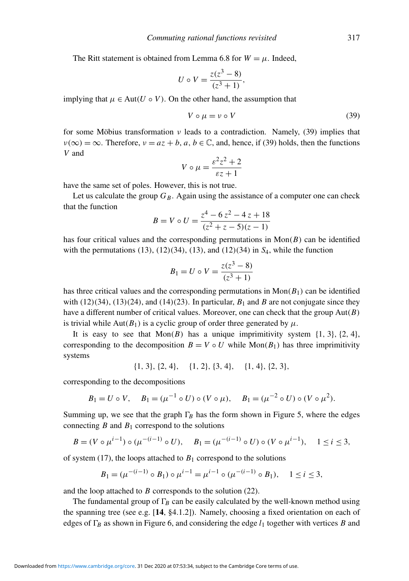The Ritt statement is obtained from Lemma [6.8](#page-21-1) for  $W = \mu$ . Indeed,

$$
U \circ V = \frac{z(z^3 - 8)}{(z^3 + 1)},
$$

implying that  $\mu \in Aut(U \circ V)$ . On the other hand, the assumption that

<span id="page-22-0"></span>
$$
V \circ \mu = \nu \circ V \tag{39}
$$

for some Möbius transformation  $\nu$  leads to a contradiction. Namely, [\(39\)](#page-22-0) implies that  $\nu(\infty) = \infty$ . Therefore,  $\nu = az + b$ ,  $a, b \in \mathbb{C}$ , and, hence, if [\(39\)](#page-22-0) holds, then the functions *V* and

$$
V \circ \mu = \frac{\varepsilon^2 z^2 + 2}{\varepsilon z + 1}
$$

have the same set of poles. However, this is not true.

Let us calculate the group  $G_B$ . Again using the assistance of a computer one can check that the function

$$
B = V \circ U = \frac{z^4 - 6z^2 - 4z + 18}{(z^2 + z - 5)(z - 1)}
$$

has four critical values and the corresponding permutations in  $Mon(B)$  can be identified with the permutations (13), (12)(34), (13), and (12)(34) in *S*4, while the function

$$
B_1 = U \circ V = \frac{z(z^3 - 8)}{(z^3 + 1)}
$$

has three critical values and the corresponding permutations in  $Mon(B_1)$  can be identified with  $(12)(34)$ ,  $(13)(24)$ , and  $(14)(23)$ . In particular,  $B_1$  and  $B$  are not conjugate since they have a different number of critical values. Moreover, one can check that the group Aut(*B*) is trivial while Aut( $B_1$ ) is a cyclic group of order three generated by  $\mu$ .

It is easy to see that  $Mon(B)$  has a unique imprimitivity system  $\{1, 3\}$ ,  $\{2, 4\}$ , corresponding to the decomposition  $B = V \circ U$  while Mon( $B_1$ ) has three imprimitivity systems

 $\{1, 3\}, \{2, 4\}, \{1, 2\}, \{3, 4\}, \{1, 4\}, \{2, 3\},$ 

corresponding to the decompositions

$$
B_1 = U \circ V
$$
,  $B_1 = (\mu^{-1} \circ U) \circ (V \circ \mu)$ ,  $B_1 = (\mu^{-2} \circ U) \circ (V \circ \mu^2)$ .

Summing up, we see that the graph  $\Gamma_B$  has the form shown in Figure [5,](#page-23-0) where the edges connecting  $B$  and  $B_1$  correspond to the solutions

$$
B = (V \circ \mu^{i-1}) \circ (\mu^{-(i-1)} \circ U), \quad B_1 = (\mu^{-(i-1)} \circ U) \circ (V \circ \mu^{i-1}), \quad 1 \le i \le 3,
$$

of system [\(17\)](#page-9-0), the loops attached to  $B_1$  correspond to the solutions

$$
B_1 = (\mu^{-(i-1)} \circ B_1) \circ \mu^{i-1} = \mu^{i-1} \circ (\mu^{-(i-1)} \circ B_1), \quad 1 \le i \le 3,
$$

and the loop attached to *B* corresponds to the solution [\(22\)](#page-11-5).

The fundamental group of  $\Gamma_B$  can be easily calculated by the well-known method using the spanning tree (see e.g.  $[14, §4.1.2]$  $[14, §4.1.2]$  $[14, §4.1.2]$ ). Namely, choosing a fixed orientation on each of edges of  $\Gamma_B$  as shown in Figure [6,](#page-24-0) and considering the edge  $l_1$  together with vertices *B* and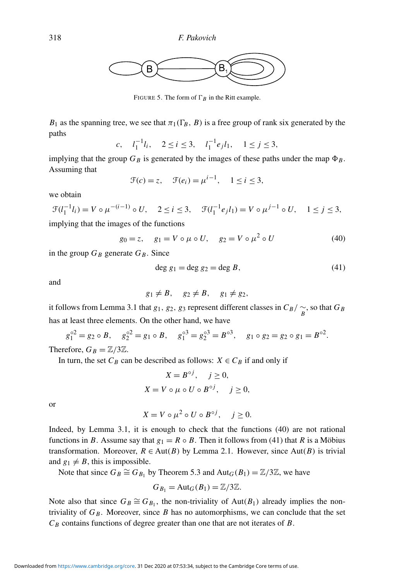<span id="page-23-0"></span>

FIGURE 5. The form of  $\Gamma_B$  in the Ritt example.

 $B_1$  as the spanning tree, we see that  $\pi_1(\Gamma_B, B)$  is a free group of rank six generated by the paths

$$
c, \quad l_1^{-1}l_i, \quad 2 \le i \le 3, \quad l_1^{-1}e_jl_1, \quad 1 \le j \le 3,
$$

implying that the group  $G_B$  is generated by the images of these paths under the map  $\Phi_B$ . Assuming that

$$
\mathcal{F}(c) = z, \quad \mathcal{F}(e_i) = \mu^{i-1}, \quad 1 \le i \le 3,
$$

we obtain

$$
\mathcal{F}(l_1^{-1}l_i) = V \circ \mu^{-(i-1)} \circ U, \quad 2 \le i \le 3, \quad \mathcal{F}(l_1^{-1}e_jl_1) = V \circ \mu^{j-1} \circ U, \quad 1 \le j \le 3,
$$

implying that the images of the functions

<span id="page-23-1"></span>
$$
g_0 = z, \quad g_1 = V \circ \mu \circ U, \quad g_2 = V \circ \mu^2 \circ U
$$
 (40)

in the group  $G_B$  generate  $G_B$ . Since

<span id="page-23-2"></span>
$$
\deg g_1 = \deg g_2 = \deg B,\tag{41}
$$

and

$$
g_1 \neq B, \quad g_2 \neq B, \quad g_1 \neq g_2,
$$

it follows from Lemma [3.1](#page-7-2) that *g*<sub>1</sub>, *g*<sub>2</sub>, *g*<sub>3</sub> represent different classes in  $C_B / \frac{\sim}{B}$ , so that  $G_B$ has at least three elements. On the other hand, we have

$$
g_1^{\circ 2} = g_2 \circ B
$$
,  $g_2^{\circ 2} = g_1 \circ B$ ,  $g_1^{\circ 3} = g_2^{\circ 3} = B^{\circ 3}$ ,  $g_1 \circ g_2 = g_2 \circ g_1 = B^{\circ 2}$ .

Therefore,  $G_B = \mathbb{Z}/3\mathbb{Z}$ .

In turn, the set  $C_B$  can be described as follows:  $X \in C_B$  if and only if

$$
X = B^{\circ j}, \quad j \ge 0,
$$
  

$$
X = V \circ \mu \circ U \circ B^{\circ j}, \quad j \ge 0,
$$

or

$$
X = V \circ \mu^2 \circ U \circ B^{\circ j}, \quad j \ge 0.
$$

Indeed, by Lemma [3.1,](#page-7-2) it is enough to check that the functions [\(40\)](#page-23-1) are not rational functions in *B*. Assume say that  $g_1 = R \circ B$ . Then it follows from [\(41\)](#page-23-2) that *R* is a Möbius transformation. Moreover,  $R \in Aut(B)$  by Lemma [2.1.](#page-3-0) However, since Aut(*B*) is trivial and  $g_1 \neq B$ , this is impossible.

Note that since  $G_B \cong G_{B_1}$  by Theorem [5.3](#page-15-3) and Aut $_G(B_1) = \mathbb{Z}/3\mathbb{Z}$ , we have

$$
G_{B_1} = \text{Aut}_G(B_1) = \mathbb{Z}/3\mathbb{Z}.
$$

Note also that since  $G_B \cong G_{B_1}$ , the non-triviality of Aut( $B_1$ ) already implies the nontriviality of  $G_B$ . Moreover, since  $B$  has no automorphisms, we can conclude that the set *C<sup>B</sup>* contains functions of degree greater than one that are not iterates of *B*.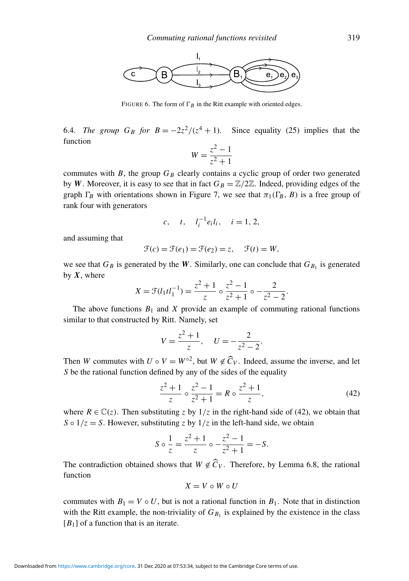<span id="page-24-0"></span>

FIGURE 6. The form of  $\Gamma_B$  in the Ritt example with oriented edges.

6.4. *The group*  $G_B$  *for*  $B = -2z^2/(z^4 + 1)$ . Since equality [\(25\)](#page-12-4) implies that the function

$$
W = \frac{z^2 - 1}{z^2 + 1}
$$

commutes with *B*, the group *G<sup>B</sup>* clearly contains a cyclic group of order two generated by *W*. Moreover, it is easy to see that in fact  $G_B = \mathbb{Z}/2\mathbb{Z}$ . Indeed, providing edges of the graph  $\Gamma_B$  with orientations shown in Figure [7,](#page-25-14) we see that  $\pi_1(\Gamma_B, B)$  is a free group of rank four with generators

$$
c, \t t, \t l_i^{-1} e_i l_i, \t i = 1, 2,
$$

and assuming that

$$
\mathcal{F}(c) = \mathcal{F}(e_1) = \mathcal{F}(e_2) = z, \quad \mathcal{F}(t) = W,
$$

we see that  $G_B$  is generated by the *W*. Similarly, one can conclude that  $G_{B_1}$  is generated by  $X$ , where

$$
X = \mathcal{F}(l_1 t l_1^{-1}) = \frac{z^2 + 1}{z} \circ \frac{z^2 - 1}{z^2 + 1} \circ -\frac{2}{z^2 - 2}
$$

The above functions  $B_1$  and  $X$  provide an example of commuting rational functions similar to that constructed by Ritt. Namely, set

$$
V = \frac{z^2 + 1}{z}, \quad U = -\frac{2}{z^2 - 2}.
$$

Then *W* commutes with  $U \circ V = W^{\circ 2}$ , but  $W \notin \widehat{C}_V$ . Indeed, assume the inverse, and let *S* be the rational function defined by any of the sides of the equality

<span id="page-24-1"></span>
$$
\frac{z^2+1}{z} \circ \frac{z^2-1}{z^2+1} = R \circ \frac{z^2+1}{z},
$$
 (42)

.

where  $R \in \mathbb{C}(z)$ . Then substituting *z* by  $1/z$  in the right-hand side of [\(42\)](#page-24-1), we obtain that *S*  $\circ$  1/*z* = *S*. However, substituting *z* by 1/*z* in the left-hand side, we obtain

$$
S \circ \frac{1}{z} = \frac{z^2 + 1}{z} \circ -\frac{z^2 - 1}{z^2 + 1} = -S.
$$

The contradiction obtained shows that  $W \notin \widehat{C}_V$ . Therefore, by Lemma [6.8,](#page-21-1) the rational function

$$
X=V\mathrel{\circ} W\mathrel{\circ} U
$$

commutes with  $B_1 = V \circ U$ , but is not a rational function in  $B_1$ . Note that in distinction with the Ritt example, the non-triviality of  $G_{B_1}$  is explained by the existence in the class  $[B_1]$  of a function that is an iterate.